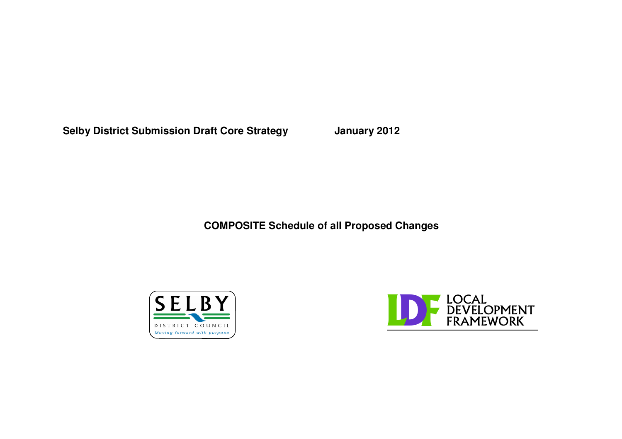**Selby District Submission Draft Core Strategy January 2012**

**COMPOSITE Schedule of all Proposed Changes**



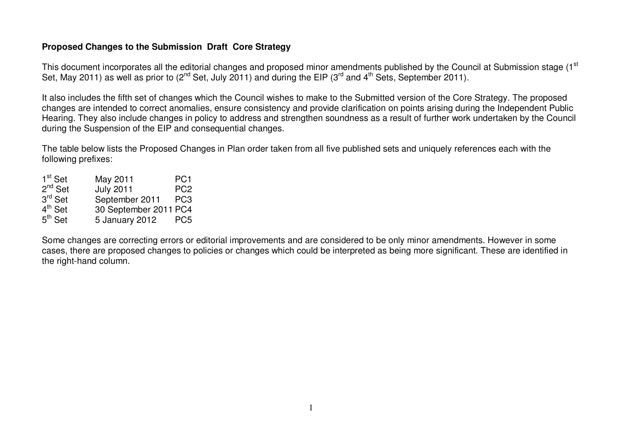## **Proposed Changes to the Submission Draft Core Strategy**

This document incorporates all the editorial changes and proposed minor amendments published by the Council at Submission stage (1 $^{\rm st}$ Set, May 2011) as well as prior to (2<sup>nd</sup> Set, July 2011) and during the EIP (3<sup>rd</sup> and 4<sup>th</sup> Sets, September 2011).

It also includes the fifth set of changes which the Council wishes to make to the Submitted version of the Core Strategy. The proposed changes are intended to correct anomalies, ensure consistency and provide clarification on points arising during the Independent Public Hearing. They also include changes in policy to address and strengthen soundness as <sup>a</sup> result of further work undertaken by the Council during the Suspension of the EIP and consequential changes.

The table below lists the Proposed Changes in Plan order taken from all five published sets and uniquely references each with the following prefixes:

| $1^{\text{st}}$ Set   | May 2011              | PC <sub>1</sub> |
|-----------------------|-----------------------|-----------------|
| 2 <sup>nd</sup> Set   | <b>July 2011</b>      | PC <sub>2</sub> |
| $3^{\mathsf{rd}}$ Set | September 2011        | PC <sub>3</sub> |
| 4 <sup>th</sup> Set   | 30 September 2011 PC4 |                 |
| $5^{\text{th}}$ Set   | 5 January 2012        | PC <sub>5</sub> |

Some changes are correcting errors or editorial improvements and are considered to be only minor amendments. However in some cases, there are proposed changes to policies or changes which could be interpreted as being more significant. These are identified in the right-hand column.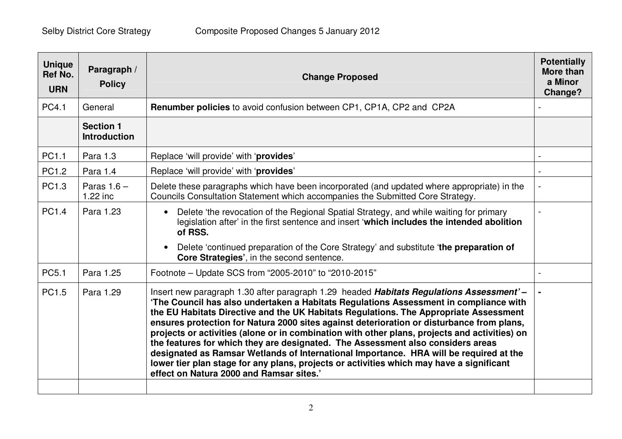| Paragraph /<br><b>Policy</b>            | <b>Change Proposed</b>                                                                                                                                                                                                                                                                                                                                                                                                                                                                                                                                                                                                                                                                                                                                                                       | <b>Potentially</b><br><b>More than</b><br>a Minor<br>Change?                                       |
|-----------------------------------------|----------------------------------------------------------------------------------------------------------------------------------------------------------------------------------------------------------------------------------------------------------------------------------------------------------------------------------------------------------------------------------------------------------------------------------------------------------------------------------------------------------------------------------------------------------------------------------------------------------------------------------------------------------------------------------------------------------------------------------------------------------------------------------------------|----------------------------------------------------------------------------------------------------|
| General                                 | <b>Renumber policies</b> to avoid confusion between CP1, CP1A, CP2 and CP2A                                                                                                                                                                                                                                                                                                                                                                                                                                                                                                                                                                                                                                                                                                                  |                                                                                                    |
| <b>Section 1</b><br><b>Introduction</b> |                                                                                                                                                                                                                                                                                                                                                                                                                                                                                                                                                                                                                                                                                                                                                                                              |                                                                                                    |
| Para 1.3                                | Replace 'will provide' with 'provides'                                                                                                                                                                                                                                                                                                                                                                                                                                                                                                                                                                                                                                                                                                                                                       |                                                                                                    |
| Para 1.4                                | Replace 'will provide' with 'provides'                                                                                                                                                                                                                                                                                                                                                                                                                                                                                                                                                                                                                                                                                                                                                       |                                                                                                    |
| Paras $1.6 -$<br>$1.22$ inc             | Delete these paragraphs which have been incorporated (and updated where appropriate) in the<br>Councils Consultation Statement which accompanies the Submitted Core Strategy.                                                                                                                                                                                                                                                                                                                                                                                                                                                                                                                                                                                                                |                                                                                                    |
| Para 1.23                               | Delete 'the revocation of the Regional Spatial Strategy, and while waiting for primary<br>$\bullet$<br>legislation after' in the first sentence and insert 'which includes the intended abolition<br>of RSS.<br>Delete 'continued preparation of the Core Strategy' and substitute 'the preparation of<br>$\bullet$                                                                                                                                                                                                                                                                                                                                                                                                                                                                          |                                                                                                    |
|                                         |                                                                                                                                                                                                                                                                                                                                                                                                                                                                                                                                                                                                                                                                                                                                                                                              |                                                                                                    |
|                                         |                                                                                                                                                                                                                                                                                                                                                                                                                                                                                                                                                                                                                                                                                                                                                                                              |                                                                                                    |
| Para 1.29                               | Insert new paragraph 1.30 after paragraph 1.29 headed Habitats Regulations Assessment'-<br>'The Council has also undertaken a Habitats Regulations Assessment in compliance with<br>the EU Habitats Directive and the UK Habitats Regulations. The Appropriate Assessment<br>ensures protection for Natura 2000 sites against deterioration or disturbance from plans,<br>projects or activities (alone or in combination with other plans, projects and activities) on<br>the features for which they are designated. The Assessment also considers areas<br>designated as Ramsar Wetlands of International Importance. HRA will be required at the<br>lower tier plan stage for any plans, projects or activities which may have a significant<br>effect on Natura 2000 and Ramsar sites.' |                                                                                                    |
|                                         | Ref No.<br>Para 1.25                                                                                                                                                                                                                                                                                                                                                                                                                                                                                                                                                                                                                                                                                                                                                                         | Core Strategies', in the second sentence.<br>Footnote - Update SCS from "2005-2010" to "2010-2015" |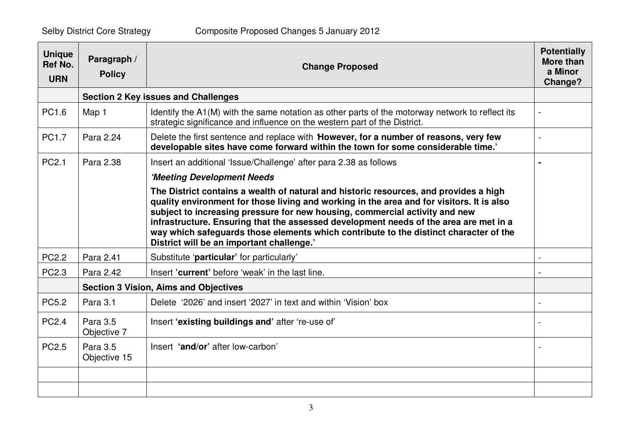| <b>Unique</b><br><b>Ref No.</b><br><b>URN</b> | Paragraph /<br><b>Policy</b> | <b>Change Proposed</b>                                                                                                                                                                                                                                                                                                                                                                                                                                                                           | <b>Potentially</b><br><b>More than</b><br>a Minor<br>Change? |
|-----------------------------------------------|------------------------------|--------------------------------------------------------------------------------------------------------------------------------------------------------------------------------------------------------------------------------------------------------------------------------------------------------------------------------------------------------------------------------------------------------------------------------------------------------------------------------------------------|--------------------------------------------------------------|
|                                               |                              | <b>Section 2 Key issues and Challenges</b>                                                                                                                                                                                                                                                                                                                                                                                                                                                       |                                                              |
| PC1.6                                         | Map 1                        | Identify the A1(M) with the same notation as other parts of the motorway network to reflect its<br>strategic significance and influence on the western part of the District.                                                                                                                                                                                                                                                                                                                     |                                                              |
| PC1.7                                         | Para 2.24                    | Delete the first sentence and replace with <b>However, for a number of reasons, very few</b><br>developable sites have come forward within the town for some considerable time.'                                                                                                                                                                                                                                                                                                                 |                                                              |
| PC <sub>2.1</sub>                             | Para 2.38                    | Insert an additional 'Issue/Challenge' after para 2.38 as follows                                                                                                                                                                                                                                                                                                                                                                                                                                |                                                              |
|                                               |                              | 'Meeting Development Needs                                                                                                                                                                                                                                                                                                                                                                                                                                                                       |                                                              |
|                                               |                              | The District contains a wealth of natural and historic resources, and provides a high<br>quality environment for those living and working in the area and for visitors. It is also<br>subject to increasing pressure for new housing, commercial activity and new<br>infrastructure. Ensuring that the assessed development needs of the area are met in a<br>way which safeguards those elements which contribute to the distinct character of the<br>District will be an important challenge.' |                                                              |
| <b>PC2.2</b>                                  | Para 2.41                    | Substitute 'particular' for particularly'                                                                                                                                                                                                                                                                                                                                                                                                                                                        |                                                              |
| PC2.3                                         | Para 2.42                    | Insert 'current' before 'weak' in the last line.                                                                                                                                                                                                                                                                                                                                                                                                                                                 |                                                              |
|                                               |                              | <b>Section 3 Vision, Aims and Objectives</b>                                                                                                                                                                                                                                                                                                                                                                                                                                                     |                                                              |
| <b>PC5.2</b>                                  | Para 3.1                     | Delete '2026' and insert '2027' in text and within 'Vision' box                                                                                                                                                                                                                                                                                                                                                                                                                                  |                                                              |
| <b>PC2.4</b>                                  | Para 3.5<br>Objective 7      | Insert 'existing buildings and' after 're-use of'                                                                                                                                                                                                                                                                                                                                                                                                                                                |                                                              |
| PC <sub>2.5</sub>                             | Para 3.5<br>Objective 15     | Insert 'and/or' after low-carbon'                                                                                                                                                                                                                                                                                                                                                                                                                                                                |                                                              |
|                                               |                              |                                                                                                                                                                                                                                                                                                                                                                                                                                                                                                  |                                                              |
|                                               |                              |                                                                                                                                                                                                                                                                                                                                                                                                                                                                                                  |                                                              |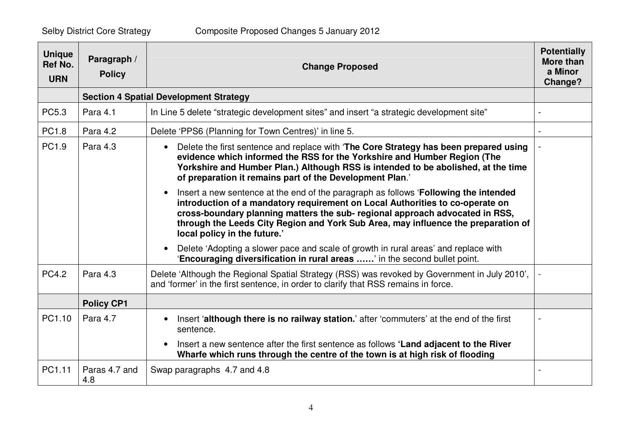| <b>Unique</b><br><b>Ref No.</b><br><b>URN</b> | Paragraph /<br><b>Policy</b> | <b>Change Proposed</b>                                                                                                                                                                                                                                                                                                                                                                  | <b>Potentially</b><br>More than<br>a Minor<br>Change? |
|-----------------------------------------------|------------------------------|-----------------------------------------------------------------------------------------------------------------------------------------------------------------------------------------------------------------------------------------------------------------------------------------------------------------------------------------------------------------------------------------|-------------------------------------------------------|
|                                               |                              | <b>Section 4 Spatial Development Strategy</b>                                                                                                                                                                                                                                                                                                                                           |                                                       |
| PC5.3                                         | Para 4.1                     | In Line 5 delete "strategic development sites" and insert "a strategic development site"                                                                                                                                                                                                                                                                                                |                                                       |
| PC1.8                                         | Para 4.2                     | Delete 'PPS6 (Planning for Town Centres)' in line 5.                                                                                                                                                                                                                                                                                                                                    |                                                       |
| PC1.9                                         | Para 4.3                     | Delete the first sentence and replace with 'The Core Strategy has been prepared using<br>$\bullet$<br>evidence which informed the RSS for the Yorkshire and Humber Region (The<br>Yorkshire and Humber Plan.) Although RSS is intended to be abolished, at the time<br>of preparation it remains part of the Development Plan.'                                                         |                                                       |
|                                               |                              | Insert a new sentence at the end of the paragraph as follows 'Following the intended<br>$\bullet$<br>introduction of a mandatory requirement on Local Authorities to co-operate on<br>cross-boundary planning matters the sub- regional approach advocated in RSS,<br>through the Leeds City Region and York Sub Area, may influence the preparation of<br>local policy in the future.' |                                                       |
|                                               |                              | Delete 'Adopting a slower pace and scale of growth in rural areas' and replace with<br>$\bullet$<br>'Encouraging diversification in rural areas ' in the second bullet point.                                                                                                                                                                                                           |                                                       |
| <b>PC4.2</b>                                  | Para 4.3                     | Delete 'Although the Regional Spatial Strategy (RSS) was revoked by Government in July 2010',<br>and 'former' in the first sentence, in order to clarify that RSS remains in force.                                                                                                                                                                                                     |                                                       |
|                                               | <b>Policy CP1</b>            |                                                                                                                                                                                                                                                                                                                                                                                         |                                                       |
| PC1.10                                        | Para 4.7                     | Insert 'although there is no railway station.' after 'commuters' at the end of the first<br>$\bullet$<br>sentence.                                                                                                                                                                                                                                                                      |                                                       |
|                                               |                              | Insert a new sentence after the first sentence as follows 'Land adjacent to the River<br>$\bullet$<br>Wharfe which runs through the centre of the town is at high risk of flooding                                                                                                                                                                                                      |                                                       |
| PC1.11                                        | Paras 4.7 and<br>4.8         | Swap paragraphs 4.7 and 4.8                                                                                                                                                                                                                                                                                                                                                             |                                                       |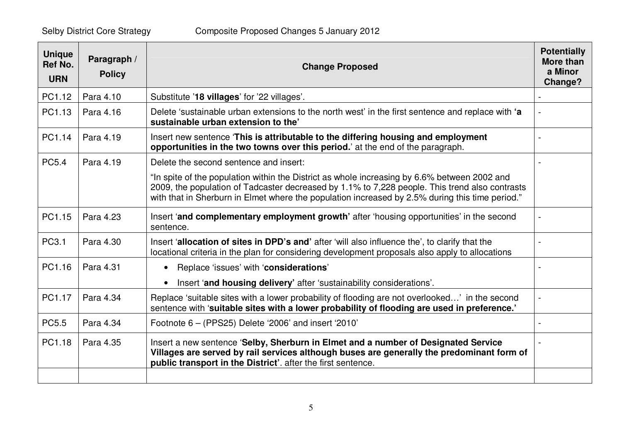| <b>Unique</b><br><b>Ref No.</b><br><b>URN</b> | Paragraph /<br><b>Policy</b> | <b>Change Proposed</b>                                                                                                                                                                                                                                                                            | <b>Potentially</b><br>More than<br>a Minor<br>Change? |
|-----------------------------------------------|------------------------------|---------------------------------------------------------------------------------------------------------------------------------------------------------------------------------------------------------------------------------------------------------------------------------------------------|-------------------------------------------------------|
| PC1.12                                        | Para 4.10                    | Substitute '18 villages' for '22 villages'.                                                                                                                                                                                                                                                       |                                                       |
| PC1.13                                        | Para 4.16                    | Delete 'sustainable urban extensions to the north west' in the first sentence and replace with 'a<br>sustainable urban extension to the'                                                                                                                                                          |                                                       |
| PC1.14                                        | Para 4.19                    | Insert new sentence 'This is attributable to the differing housing and employment<br>opportunities in the two towns over this period.' at the end of the paragraph.                                                                                                                               |                                                       |
| <b>PC5.4</b>                                  | Para 4.19                    | Delete the second sentence and insert:                                                                                                                                                                                                                                                            |                                                       |
|                                               |                              | "In spite of the population within the District as whole increasing by 6.6% between 2002 and<br>2009, the population of Tadcaster decreased by 1.1% to 7,228 people. This trend also contrasts<br>with that in Sherburn in Elmet where the population increased by 2.5% during this time period." |                                                       |
| PC1.15                                        | Para 4.23                    | Insert 'and complementary employment growth' after 'housing opportunities' in the second<br>sentence.                                                                                                                                                                                             |                                                       |
| PC3.1                                         | Para 4.30                    | Insert 'allocation of sites in DPD's and' after 'will also influence the', to clarify that the<br>locational criteria in the plan for considering development proposals also apply to allocations                                                                                                 |                                                       |
| PC1.16                                        | Para 4.31                    | Replace 'issues' with 'considerations'<br>$\bullet$                                                                                                                                                                                                                                               |                                                       |
|                                               |                              | Insert 'and housing delivery' after 'sustainability considerations'.<br>$\bullet$                                                                                                                                                                                                                 |                                                       |
| PC1.17                                        | Para 4.34                    | Replace 'suitable sites with a lower probability of flooding are not overlooked' in the second<br>sentence with 'suitable sites with a lower probability of flooding are used in preference.'                                                                                                     |                                                       |
| PC5.5                                         | Para 4.34                    | Footnote $6 - (PPS25)$ Delete '2006' and insert '2010'                                                                                                                                                                                                                                            |                                                       |
| PC1.18                                        | Para 4.35                    | Insert a new sentence 'Selby, Sherburn in Elmet and a number of Designated Service<br>Villages are served by rail services although buses are generally the predominant form of<br>public transport in the District'. after the first sentence.                                                   |                                                       |
|                                               |                              |                                                                                                                                                                                                                                                                                                   |                                                       |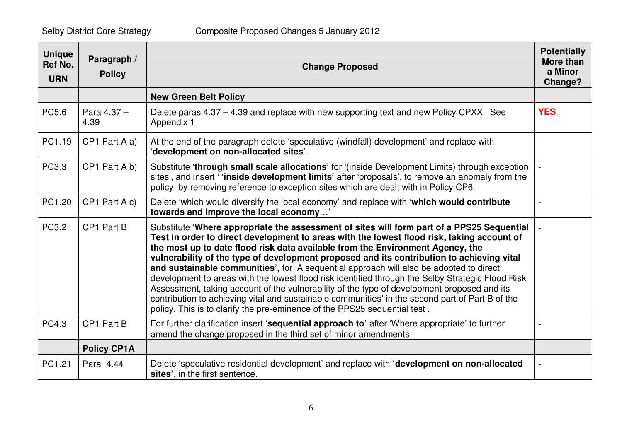| <b>Unique</b><br><b>Ref No.</b><br><b>URN</b> | Paragraph /<br><b>Policy</b> | <b>Change Proposed</b>                                                                                                                                                                                                                                                                                                                                                                                                                                                                                                                                                                                                                                                                                                                                                                                                                                  | <b>Potentially</b><br>More than<br>a Minor<br><b>Change?</b> |
|-----------------------------------------------|------------------------------|---------------------------------------------------------------------------------------------------------------------------------------------------------------------------------------------------------------------------------------------------------------------------------------------------------------------------------------------------------------------------------------------------------------------------------------------------------------------------------------------------------------------------------------------------------------------------------------------------------------------------------------------------------------------------------------------------------------------------------------------------------------------------------------------------------------------------------------------------------|--------------------------------------------------------------|
|                                               |                              | <b>New Green Belt Policy</b>                                                                                                                                                                                                                                                                                                                                                                                                                                                                                                                                                                                                                                                                                                                                                                                                                            |                                                              |
| PC5.6                                         | Para $4.37 -$<br>4.39        | Delete paras 4.37 - 4.39 and replace with new supporting text and new Policy CPXX. See<br>Appendix 1                                                                                                                                                                                                                                                                                                                                                                                                                                                                                                                                                                                                                                                                                                                                                    | <b>YES</b>                                                   |
| PC1.19                                        | CP1 Part A a)                | At the end of the paragraph delete 'speculative (windfall) development' and replace with<br>'development on non-allocated sites'.                                                                                                                                                                                                                                                                                                                                                                                                                                                                                                                                                                                                                                                                                                                       |                                                              |
| PC3.3                                         | CP1 Part A b)                | Substitute 'through small scale allocations' for '(inside Development Limits) through exception<br>sites', and insert 'inside development limits' after 'proposals', to remove an anomaly from the<br>policy by removing reference to exception sites which are dealt with in Policy CP6.                                                                                                                                                                                                                                                                                                                                                                                                                                                                                                                                                               |                                                              |
| PC1.20                                        | CP1 Part A c)                | Delete 'which would diversify the local economy' and replace with 'which would contribute<br>towards and improve the local economy'                                                                                                                                                                                                                                                                                                                                                                                                                                                                                                                                                                                                                                                                                                                     |                                                              |
| PC3.2                                         | CP1 Part B                   | Substitute 'Where appropriate the assessment of sites will form part of a PPS25 Sequential<br>Test in order to direct development to areas with the lowest flood risk, taking account of<br>the most up to date flood risk data available from the Environment Agency, the<br>vulnerability of the type of development proposed and its contribution to achieving vital<br>and sustainable communities', for 'A sequential approach will also be adopted to direct<br>development to areas with the lowest flood risk identified through the Selby Strategic Flood Risk<br>Assessment, taking account of the vulnerability of the type of development proposed and its<br>contribution to achieving vital and sustainable communities' in the second part of Part B of the<br>policy. This is to clarify the pre-eminence of the PPS25 sequential test. |                                                              |
| <b>PC4.3</b>                                  | CP1 Part B                   | For further clarification insert 'sequential approach to' after 'Where appropriate' to further<br>amend the change proposed in the third set of minor amendments                                                                                                                                                                                                                                                                                                                                                                                                                                                                                                                                                                                                                                                                                        |                                                              |
|                                               | <b>Policy CP1A</b>           |                                                                                                                                                                                                                                                                                                                                                                                                                                                                                                                                                                                                                                                                                                                                                                                                                                                         |                                                              |
| PC1.21                                        | Para 4.44                    | Delete 'speculative residential development' and replace with 'development on non-allocated<br>sites', in the first sentence.                                                                                                                                                                                                                                                                                                                                                                                                                                                                                                                                                                                                                                                                                                                           |                                                              |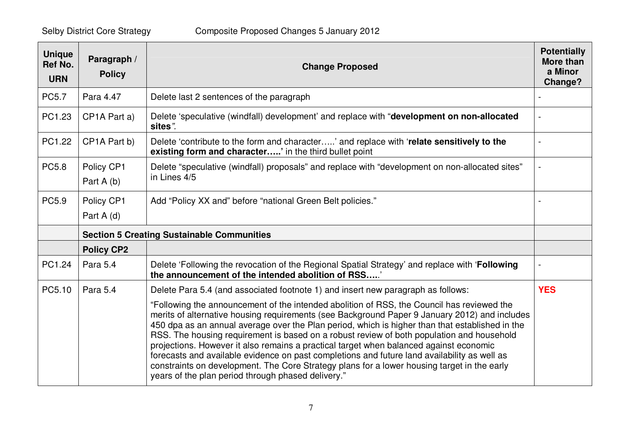| <b>Unique</b><br>Ref No.<br><b>URN</b> | Paragraph /<br><b>Policy</b> | <b>Change Proposed</b>                                                                                                                                                                                                                                                                                                                                                                                                                                                                                                                                                                                                                                                                                                                     | <b>Potentially</b><br><b>More than</b><br>a Minor<br><b>Change?</b> |
|----------------------------------------|------------------------------|--------------------------------------------------------------------------------------------------------------------------------------------------------------------------------------------------------------------------------------------------------------------------------------------------------------------------------------------------------------------------------------------------------------------------------------------------------------------------------------------------------------------------------------------------------------------------------------------------------------------------------------------------------------------------------------------------------------------------------------------|---------------------------------------------------------------------|
| <b>PC5.7</b>                           | Para 4.47                    | Delete last 2 sentences of the paragraph                                                                                                                                                                                                                                                                                                                                                                                                                                                                                                                                                                                                                                                                                                   |                                                                     |
| PC1.23                                 | CP1A Part a)                 | Delete 'speculative (windfall) development' and replace with "development on non-allocated<br>sites".                                                                                                                                                                                                                                                                                                                                                                                                                                                                                                                                                                                                                                      |                                                                     |
| PC1.22                                 | CP1A Part b)                 | Delete 'contribute to the form and character' and replace with 'relate sensitively to the<br>existing form and character' in the third bullet point                                                                                                                                                                                                                                                                                                                                                                                                                                                                                                                                                                                        |                                                                     |
| <b>PC5.8</b>                           | Policy CP1<br>Part A (b)     | Delete "speculative (windfall) proposals" and replace with "development on non-allocated sites"<br>in Lines 4/5                                                                                                                                                                                                                                                                                                                                                                                                                                                                                                                                                                                                                            |                                                                     |
| PC5.9                                  | Policy CP1<br>Part A (d)     | Add "Policy XX and" before "national Green Belt policies."                                                                                                                                                                                                                                                                                                                                                                                                                                                                                                                                                                                                                                                                                 |                                                                     |
|                                        |                              | <b>Section 5 Creating Sustainable Communities</b>                                                                                                                                                                                                                                                                                                                                                                                                                                                                                                                                                                                                                                                                                          |                                                                     |
|                                        | <b>Policy CP2</b>            |                                                                                                                                                                                                                                                                                                                                                                                                                                                                                                                                                                                                                                                                                                                                            |                                                                     |
| PC1.24                                 | Para 5.4                     | Delete 'Following the revocation of the Regional Spatial Strategy' and replace with 'Following<br>the announcement of the intended abolition of RSS                                                                                                                                                                                                                                                                                                                                                                                                                                                                                                                                                                                        |                                                                     |
| PC5.10                                 | Para 5.4                     | Delete Para 5.4 (and associated footnote 1) and insert new paragraph as follows:                                                                                                                                                                                                                                                                                                                                                                                                                                                                                                                                                                                                                                                           | <b>YES</b>                                                          |
|                                        |                              | "Following the announcement of the intended abolition of RSS, the Council has reviewed the<br>merits of alternative housing requirements (see Background Paper 9 January 2012) and includes<br>450 dpa as an annual average over the Plan period, which is higher than that established in the<br>RSS. The housing requirement is based on a robust review of both population and household<br>projections. However it also remains a practical target when balanced against economic<br>forecasts and available evidence on past completions and future land availability as well as<br>constraints on development. The Core Strategy plans for a lower housing target in the early<br>years of the plan period through phased delivery." |                                                                     |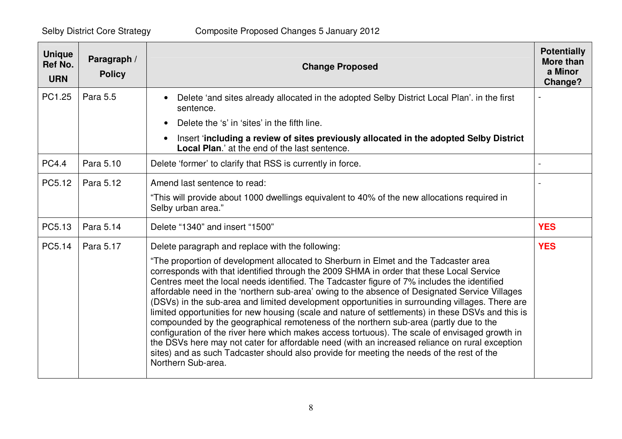| <b>Unique</b><br>Ref No.<br><b>URN</b> | Paragraph /<br><b>Policy</b> | <b>Change Proposed</b>                                                                                                                                                                                                                                                                                                                                                                                                                                                                                                                                                                                                                                                                                                                                                                                                                                                                                                                                                                                                                                        | <b>Potentially</b><br><b>More than</b><br>a Minor<br>Change? |
|----------------------------------------|------------------------------|---------------------------------------------------------------------------------------------------------------------------------------------------------------------------------------------------------------------------------------------------------------------------------------------------------------------------------------------------------------------------------------------------------------------------------------------------------------------------------------------------------------------------------------------------------------------------------------------------------------------------------------------------------------------------------------------------------------------------------------------------------------------------------------------------------------------------------------------------------------------------------------------------------------------------------------------------------------------------------------------------------------------------------------------------------------|--------------------------------------------------------------|
| PC1.25                                 | Para 5.5                     | Delete 'and sites already allocated in the adopted Selby District Local Plan'. in the first<br>$\bullet$<br>sentence.                                                                                                                                                                                                                                                                                                                                                                                                                                                                                                                                                                                                                                                                                                                                                                                                                                                                                                                                         |                                                              |
|                                        |                              | Delete the 's' in 'sites' in the fifth line.<br>$\bullet$                                                                                                                                                                                                                                                                                                                                                                                                                                                                                                                                                                                                                                                                                                                                                                                                                                                                                                                                                                                                     |                                                              |
|                                        |                              | Insert 'including a review of sites previously allocated in the adopted Selby District<br>$\bullet$<br><b>Local Plan.'</b> at the end of the last sentence.                                                                                                                                                                                                                                                                                                                                                                                                                                                                                                                                                                                                                                                                                                                                                                                                                                                                                                   |                                                              |
| <b>PC4.4</b>                           | Para 5.10                    | Delete 'former' to clarify that RSS is currently in force.                                                                                                                                                                                                                                                                                                                                                                                                                                                                                                                                                                                                                                                                                                                                                                                                                                                                                                                                                                                                    |                                                              |
| PC5.12                                 | Para 5.12                    | Amend last sentence to read:<br>"This will provide about 1000 dwellings equivalent to 40% of the new allocations required in<br>Selby urban area."                                                                                                                                                                                                                                                                                                                                                                                                                                                                                                                                                                                                                                                                                                                                                                                                                                                                                                            |                                                              |
| PC5.13                                 | Para 5.14                    | Delete "1340" and insert "1500"                                                                                                                                                                                                                                                                                                                                                                                                                                                                                                                                                                                                                                                                                                                                                                                                                                                                                                                                                                                                                               | <b>YES</b>                                                   |
| PC5.14                                 | Para 5.17                    | Delete paragraph and replace with the following:<br>"The proportion of development allocated to Sherburn in Elmet and the Tadcaster area<br>corresponds with that identified through the 2009 SHMA in order that these Local Service<br>Centres meet the local needs identified. The Tadcaster figure of 7% includes the identified<br>affordable need in the 'northern sub-area' owing to the absence of Designated Service Villages<br>(DSVs) in the sub-area and limited development opportunities in surrounding villages. There are<br>limited opportunities for new housing (scale and nature of settlements) in these DSVs and this is<br>compounded by the geographical remoteness of the northern sub-area (partly due to the<br>configuration of the river here which makes access tortuous). The scale of envisaged growth in<br>the DSVs here may not cater for affordable need (with an increased reliance on rural exception<br>sites) and as such Tadcaster should also provide for meeting the needs of the rest of the<br>Northern Sub-area. | <b>YES</b>                                                   |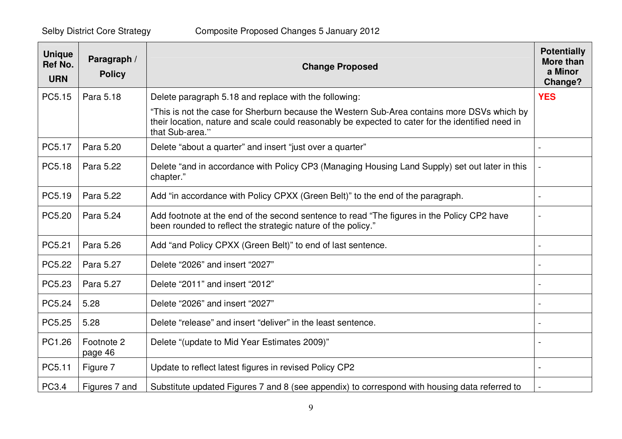| <b>Unique</b><br><b>Ref No.</b><br><b>URN</b> | Paragraph /<br><b>Policy</b> | <b>Change Proposed</b>                                                                                                                                                                                              | <b>Potentially</b><br>More than<br>a Minor<br>Change? |
|-----------------------------------------------|------------------------------|---------------------------------------------------------------------------------------------------------------------------------------------------------------------------------------------------------------------|-------------------------------------------------------|
| PC5.15                                        | Para 5.18                    | Delete paragraph 5.18 and replace with the following:                                                                                                                                                               | <b>YES</b>                                            |
|                                               |                              | "This is not the case for Sherburn because the Western Sub-Area contains more DSVs which by<br>their location, nature and scale could reasonably be expected to cater for the identified need in<br>that Sub-area." |                                                       |
| PC5.17                                        | Para 5.20                    | Delete "about a quarter" and insert "just over a quarter"                                                                                                                                                           |                                                       |
| PC5.18                                        | Para 5.22                    | Delete "and in accordance with Policy CP3 (Managing Housing Land Supply) set out later in this<br>chapter."                                                                                                         |                                                       |
| PC5.19                                        | Para 5.22                    | Add "in accordance with Policy CPXX (Green Belt)" to the end of the paragraph.                                                                                                                                      |                                                       |
| PC5.20                                        | Para 5.24                    | Add footnote at the end of the second sentence to read "The figures in the Policy CP2 have<br>been rounded to reflect the strategic nature of the policy."                                                          |                                                       |
| PC5.21                                        | Para 5.26                    | Add "and Policy CPXX (Green Belt)" to end of last sentence.                                                                                                                                                         |                                                       |
| PC5.22                                        | Para 5.27                    | Delete "2026" and insert "2027"                                                                                                                                                                                     |                                                       |
| PC5.23                                        | Para 5.27                    | Delete "2011" and insert "2012"                                                                                                                                                                                     |                                                       |
| PC5.24                                        | 5.28                         | Delete "2026" and insert "2027"                                                                                                                                                                                     | $\overline{a}$                                        |
| PC5.25                                        | 5.28                         | Delete "release" and insert "deliver" in the least sentence.                                                                                                                                                        |                                                       |
| PC1.26                                        | Footnote 2<br>page 46        | Delete "(update to Mid Year Estimates 2009)"                                                                                                                                                                        |                                                       |
| PC5.11                                        | Figure 7                     | Update to reflect latest figures in revised Policy CP2                                                                                                                                                              |                                                       |
| PC3.4                                         | Figures 7 and                | Substitute updated Figures 7 and 8 (see appendix) to correspond with housing data referred to                                                                                                                       |                                                       |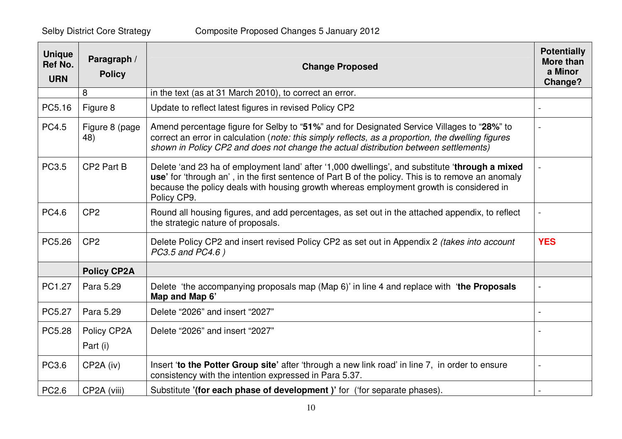| <b>Unique</b><br>Ref No.<br><b>URN</b> | Paragraph /<br><b>Policy</b> | <b>Change Proposed</b>                                                                                                                                                                                                                                                                                         | <b>Potentially</b><br>More than<br>a Minor<br>Change? |
|----------------------------------------|------------------------------|----------------------------------------------------------------------------------------------------------------------------------------------------------------------------------------------------------------------------------------------------------------------------------------------------------------|-------------------------------------------------------|
|                                        | 8                            | in the text (as at 31 March 2010), to correct an error.                                                                                                                                                                                                                                                        |                                                       |
| PC5.16                                 | Figure 8                     | Update to reflect latest figures in revised Policy CP2                                                                                                                                                                                                                                                         |                                                       |
| <b>PC4.5</b>                           | Figure 8 (page<br>48)        | Amend percentage figure for Selby to "51%" and for Designated Service Villages to "28%" to<br>correct an error in calculation (note: this simply reflects, as a proportion, the dwelling figures<br>shown in Policy CP2 and does not change the actual distribution between settlements)                       |                                                       |
| PC3.5                                  | CP2 Part B                   | Delete 'and 23 ha of employment land' after '1,000 dwellings', and substitute 'through a mixed<br>use' for 'through an', in the first sentence of Part B of the policy. This is to remove an anomaly<br>because the policy deals with housing growth whereas employment growth is considered in<br>Policy CP9. |                                                       |
| <b>PC4.6</b>                           | CP <sub>2</sub>              | Round all housing figures, and add percentages, as set out in the attached appendix, to reflect<br>the strategic nature of proposals.                                                                                                                                                                          |                                                       |
| PC5.26                                 | CP <sub>2</sub>              | Delete Policy CP2 and insert revised Policy CP2 as set out in Appendix 2 (takes into account<br>PC3.5 and PC4.6)                                                                                                                                                                                               | <b>YES</b>                                            |
|                                        | <b>Policy CP2A</b>           |                                                                                                                                                                                                                                                                                                                |                                                       |
| PC1.27                                 | Para 5.29                    | Delete 'the accompanying proposals map (Map 6)' in line 4 and replace with 'the Proposals<br>Map and Map 6'                                                                                                                                                                                                    |                                                       |
| PC5.27                                 | Para 5.29                    | Delete "2026" and insert "2027"                                                                                                                                                                                                                                                                                | $\blacksquare$                                        |
| PC5.28                                 | Policy CP2A                  | Delete "2026" and insert "2027"                                                                                                                                                                                                                                                                                |                                                       |
|                                        | Part (i)                     |                                                                                                                                                                                                                                                                                                                |                                                       |
| PC3.6                                  | CP2A (iv)                    | Insert 'to the Potter Group site' after 'through a new link road' in line 7, in order to ensure<br>consistency with the intention expressed in Para 5.37.                                                                                                                                                      | $\overline{\phantom{a}}$                              |
| PC2.6                                  | CP2A (viii)                  | Substitute '(for each phase of development)' for ('for separate phases).                                                                                                                                                                                                                                       |                                                       |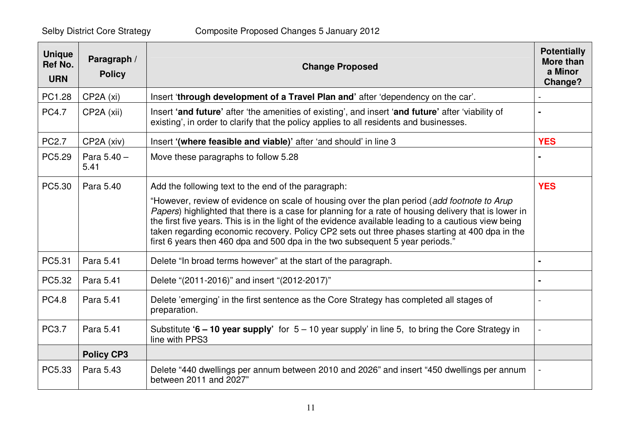| <b>Unique</b><br><b>Ref No.</b><br><b>URN</b> | Paragraph /<br><b>Policy</b> | <b>Change Proposed</b>                                                                                                                                                                                                                                                                                                                                                                                                                                                                           | <b>Potentially</b><br><b>More than</b><br>a Minor<br>Change? |
|-----------------------------------------------|------------------------------|--------------------------------------------------------------------------------------------------------------------------------------------------------------------------------------------------------------------------------------------------------------------------------------------------------------------------------------------------------------------------------------------------------------------------------------------------------------------------------------------------|--------------------------------------------------------------|
| PC1.28                                        | CP2A (xi)                    | Insert 'through development of a Travel Plan and' after 'dependency on the car'.                                                                                                                                                                                                                                                                                                                                                                                                                 |                                                              |
| <b>PC4.7</b>                                  | CP2A (xii)                   | Insert 'and future' after 'the amenities of existing', and insert 'and future' after 'viability of<br>existing', in order to clarify that the policy applies to all residents and businesses.                                                                                                                                                                                                                                                                                                    |                                                              |
| <b>PC2.7</b>                                  | CP2A (xiv)                   | Insert '(where feasible and viable)' after 'and should' in line 3                                                                                                                                                                                                                                                                                                                                                                                                                                | <b>YES</b>                                                   |
| PC5.29                                        | Para 5.40 -<br>5.41          | Move these paragraphs to follow 5.28                                                                                                                                                                                                                                                                                                                                                                                                                                                             |                                                              |
| PC5.30                                        | Para 5.40                    | Add the following text to the end of the paragraph:                                                                                                                                                                                                                                                                                                                                                                                                                                              | <b>YES</b>                                                   |
|                                               |                              | "However, review of evidence on scale of housing over the plan period (add footnote to Arup<br>Papers) highlighted that there is a case for planning for a rate of housing delivery that is lower in<br>the first five years. This is in the light of the evidence available leading to a cautious view being<br>taken regarding economic recovery. Policy CP2 sets out three phases starting at 400 dpa in the<br>first 6 years then 460 dpa and 500 dpa in the two subsequent 5 year periods." |                                                              |
| PC5.31                                        | Para 5.41                    | Delete "In broad terms however" at the start of the paragraph.                                                                                                                                                                                                                                                                                                                                                                                                                                   |                                                              |
| PC5.32                                        | Para 5.41                    | Delete "(2011-2016)" and insert "(2012-2017)"                                                                                                                                                                                                                                                                                                                                                                                                                                                    |                                                              |
| <b>PC4.8</b>                                  | Para 5.41                    | Delete 'emerging' in the first sentence as the Core Strategy has completed all stages of<br>preparation.                                                                                                                                                                                                                                                                                                                                                                                         |                                                              |
| PC3.7                                         | Para 5.41                    | Substitute '6 – 10 year supply' for $5 - 10$ year supply' in line 5, to bring the Core Strategy in<br>line with PPS3                                                                                                                                                                                                                                                                                                                                                                             |                                                              |
|                                               | <b>Policy CP3</b>            |                                                                                                                                                                                                                                                                                                                                                                                                                                                                                                  |                                                              |
| PC5.33                                        | Para 5.43                    | Delete "440 dwellings per annum between 2010 and 2026" and insert "450 dwellings per annum<br>between 2011 and 2027"                                                                                                                                                                                                                                                                                                                                                                             |                                                              |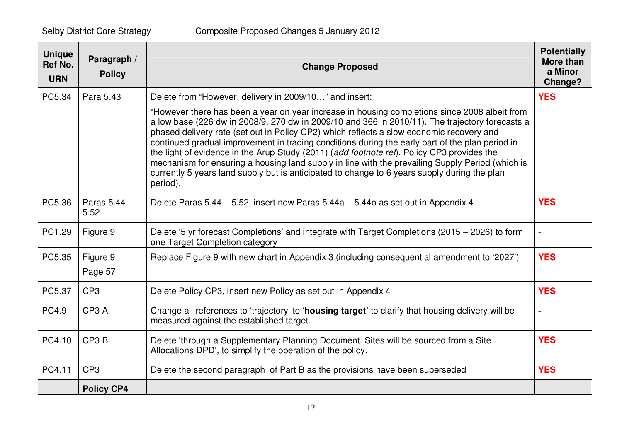| <b>Unique</b><br><b>Ref No.</b><br><b>URN</b> | Paragraph /<br><b>Policy</b> | <b>Change Proposed</b>                                                                                                                                                                                                                                                                                                                                                                                                                                                                                                                                                                                                                                                                                        | <b>Potentially</b><br>More than<br>a Minor<br>Change? |
|-----------------------------------------------|------------------------------|---------------------------------------------------------------------------------------------------------------------------------------------------------------------------------------------------------------------------------------------------------------------------------------------------------------------------------------------------------------------------------------------------------------------------------------------------------------------------------------------------------------------------------------------------------------------------------------------------------------------------------------------------------------------------------------------------------------|-------------------------------------------------------|
| PC5.34                                        | Para 5.43                    | Delete from "However, delivery in 2009/10" and insert:                                                                                                                                                                                                                                                                                                                                                                                                                                                                                                                                                                                                                                                        | <b>YES</b>                                            |
|                                               |                              | "However there has been a year on year increase in housing completions since 2008 albeit from<br>a low base (226 dw in 2008/9, 270 dw in 2009/10 and 366 in 2010/11). The trajectory forecasts a<br>phased delivery rate (set out in Policy CP2) which reflects a slow economic recovery and<br>continued gradual improvement in trading conditions during the early part of the plan period in<br>the light of evidence in the Arup Study (2011) (add footnote ref). Policy CP3 provides the<br>mechanism for ensuring a housing land supply in line with the prevailing Supply Period (which is<br>currently 5 years land supply but is anticipated to change to 6 years supply during the plan<br>period). |                                                       |
| PC5.36                                        | Paras $5.44 -$<br>5.52       | Delete Paras 5.44 - 5.52, insert new Paras 5.44a - 5.44o as set out in Appendix 4                                                                                                                                                                                                                                                                                                                                                                                                                                                                                                                                                                                                                             | <b>YES</b>                                            |
| PC1.29                                        | Figure 9                     | Delete '5 yr forecast Completions' and integrate with Target Completions (2015 – 2026) to form<br>one Target Completion category                                                                                                                                                                                                                                                                                                                                                                                                                                                                                                                                                                              |                                                       |
| PC5.35                                        | Figure 9<br>Page 57          | Replace Figure 9 with new chart in Appendix 3 (including consequential amendment to '2027')                                                                                                                                                                                                                                                                                                                                                                                                                                                                                                                                                                                                                   | <b>YES</b>                                            |
| PC5.37                                        | CP <sub>3</sub>              | Delete Policy CP3, insert new Policy as set out in Appendix 4                                                                                                                                                                                                                                                                                                                                                                                                                                                                                                                                                                                                                                                 | <b>YES</b>                                            |
| <b>PC4.9</b>                                  | CP <sub>3</sub> A            | Change all references to 'trajectory' to 'housing target' to clarify that housing delivery will be<br>measured against the established target.                                                                                                                                                                                                                                                                                                                                                                                                                                                                                                                                                                |                                                       |
| PC4.10                                        | CP <sub>3</sub> B            | Delete 'through a Supplementary Planning Document. Sites will be sourced from a Site<br>Allocations DPD', to simplify the operation of the policy.                                                                                                                                                                                                                                                                                                                                                                                                                                                                                                                                                            | <b>YES</b>                                            |
| PC4.11                                        | CP <sub>3</sub>              | Delete the second paragraph of Part B as the provisions have been superseded                                                                                                                                                                                                                                                                                                                                                                                                                                                                                                                                                                                                                                  | <b>YES</b>                                            |
|                                               | <b>Policy CP4</b>            |                                                                                                                                                                                                                                                                                                                                                                                                                                                                                                                                                                                                                                                                                                               |                                                       |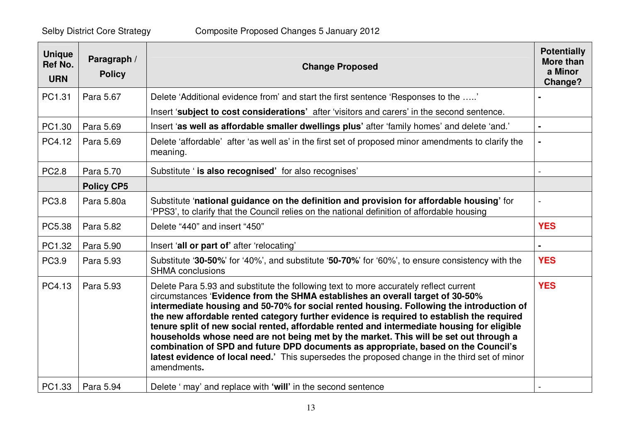| <b>Unique</b><br><b>Ref No.</b><br><b>URN</b> | Paragraph /<br><b>Policy</b> | <b>Change Proposed</b>                                                                                                                                                                                                                                                                                                                                                                                                                                                                                                                                                                                                                                                                                                                                       | <b>Potentially</b><br><b>More than</b><br>a Minor<br>Change? |
|-----------------------------------------------|------------------------------|--------------------------------------------------------------------------------------------------------------------------------------------------------------------------------------------------------------------------------------------------------------------------------------------------------------------------------------------------------------------------------------------------------------------------------------------------------------------------------------------------------------------------------------------------------------------------------------------------------------------------------------------------------------------------------------------------------------------------------------------------------------|--------------------------------------------------------------|
| PC1.31                                        | Para 5.67                    | Delete 'Additional evidence from' and start the first sentence 'Responses to the '                                                                                                                                                                                                                                                                                                                                                                                                                                                                                                                                                                                                                                                                           |                                                              |
|                                               |                              | Insert 'subject to cost considerations' after 'visitors and carers' in the second sentence.                                                                                                                                                                                                                                                                                                                                                                                                                                                                                                                                                                                                                                                                  |                                                              |
| PC1.30                                        | Para 5.69                    | Insert 'as well as affordable smaller dwellings plus' after 'family homes' and delete 'and.'                                                                                                                                                                                                                                                                                                                                                                                                                                                                                                                                                                                                                                                                 |                                                              |
| PC4.12                                        | Para 5.69                    | Delete 'affordable' after 'as well as' in the first set of proposed minor amendments to clarify the<br>meaning.                                                                                                                                                                                                                                                                                                                                                                                                                                                                                                                                                                                                                                              |                                                              |
| <b>PC2.8</b>                                  | Para 5.70                    | Substitute ' is also recognised' for also recognises'                                                                                                                                                                                                                                                                                                                                                                                                                                                                                                                                                                                                                                                                                                        |                                                              |
|                                               | <b>Policy CP5</b>            |                                                                                                                                                                                                                                                                                                                                                                                                                                                                                                                                                                                                                                                                                                                                                              |                                                              |
| PC3.8                                         | Para 5.80a                   | Substitute 'national guidance on the definition and provision for affordable housing' for<br>'PPS3', to clarify that the Council relies on the national definition of affordable housing                                                                                                                                                                                                                                                                                                                                                                                                                                                                                                                                                                     |                                                              |
| PC5.38                                        | Para 5.82                    | Delete "440" and insert "450"                                                                                                                                                                                                                                                                                                                                                                                                                                                                                                                                                                                                                                                                                                                                | <b>YES</b>                                                   |
| PC1.32                                        | Para 5.90                    | Insert 'all or part of' after 'relocating'                                                                                                                                                                                                                                                                                                                                                                                                                                                                                                                                                                                                                                                                                                                   |                                                              |
| PC3.9                                         | Para 5.93                    | Substitute '30-50%' for '40%', and substitute '50-70%' for '60%', to ensure consistency with the<br><b>SHMA</b> conclusions                                                                                                                                                                                                                                                                                                                                                                                                                                                                                                                                                                                                                                  | <b>YES</b>                                                   |
| PC4.13                                        | Para 5.93                    | Delete Para 5.93 and substitute the following text to more accurately reflect current<br>circumstances 'Evidence from the SHMA establishes an overall target of 30-50%<br>intermediate housing and 50-70% for social rented housing. Following the introduction of<br>the new affordable rented category further evidence is required to establish the required<br>tenure split of new social rented, affordable rented and intermediate housing for eligible<br>households whose need are not being met by the market. This will be set out through a<br>combination of SPD and future DPD documents as appropriate, based on the Council's<br>latest evidence of local need.' This supersedes the proposed change in the third set of minor<br>amendments. | <b>YES</b>                                                   |
| PC1.33                                        | Para 5.94                    | Delete ' may' and replace with 'will' in the second sentence                                                                                                                                                                                                                                                                                                                                                                                                                                                                                                                                                                                                                                                                                                 |                                                              |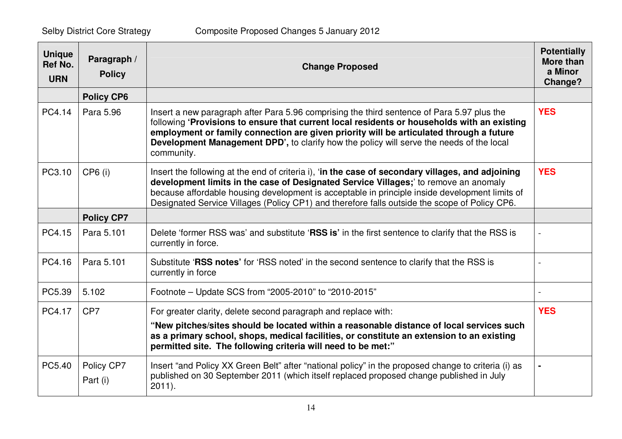| <b>Unique</b><br>Ref No.<br><b>URN</b> | Paragraph /<br><b>Policy</b> | <b>Change Proposed</b>                                                                                                                                                                                                                                                                                                                                                                         | <b>Potentially</b><br><b>More than</b><br>a Minor<br>Change? |
|----------------------------------------|------------------------------|------------------------------------------------------------------------------------------------------------------------------------------------------------------------------------------------------------------------------------------------------------------------------------------------------------------------------------------------------------------------------------------------|--------------------------------------------------------------|
|                                        | <b>Policy CP6</b>            |                                                                                                                                                                                                                                                                                                                                                                                                |                                                              |
| PC4.14                                 | Para 5.96                    | Insert a new paragraph after Para 5.96 comprising the third sentence of Para 5.97 plus the<br>following 'Provisions to ensure that current local residents or households with an existing<br>employment or family connection are given priority will be articulated through a future<br>Development Management DPD', to clarify how the policy will serve the needs of the local<br>community. | <b>YES</b>                                                   |
| PC3.10                                 | CP6 (i)                      | Insert the following at the end of criteria i), 'in the case of secondary villages, and adjoining<br>development limits in the case of Designated Service Villages;' to remove an anomaly<br>because affordable housing development is acceptable in principle inside development limits of<br>Designated Service Villages (Policy CP1) and therefore falls outside the scope of Policy CP6.   | <b>YES</b>                                                   |
|                                        | <b>Policy CP7</b>            |                                                                                                                                                                                                                                                                                                                                                                                                |                                                              |
| PC4.15                                 | Para 5.101                   | Delete 'former RSS was' and substitute 'RSS is' in the first sentence to clarify that the RSS is<br>currently in force.                                                                                                                                                                                                                                                                        |                                                              |
| PC4.16                                 | Para 5.101                   | Substitute 'RSS notes' for 'RSS noted' in the second sentence to clarify that the RSS is<br>currently in force                                                                                                                                                                                                                                                                                 |                                                              |
| PC5.39                                 | 5.102                        | Footnote - Update SCS from "2005-2010" to "2010-2015"                                                                                                                                                                                                                                                                                                                                          |                                                              |
| PC4.17                                 | CP <sub>7</sub>              | For greater clarity, delete second paragraph and replace with:<br>"New pitches/sites should be located within a reasonable distance of local services such<br>as a primary school, shops, medical facilities, or constitute an extension to an existing<br>permitted site. The following criteria will need to be met:"                                                                        | <b>YES</b>                                                   |
| PC5.40                                 | Policy CP7<br>Part (i)       | Insert "and Policy XX Green Belt" after "national policy" in the proposed change to criteria (i) as<br>published on 30 September 2011 (which itself replaced proposed change published in July<br>$2011$ ).                                                                                                                                                                                    |                                                              |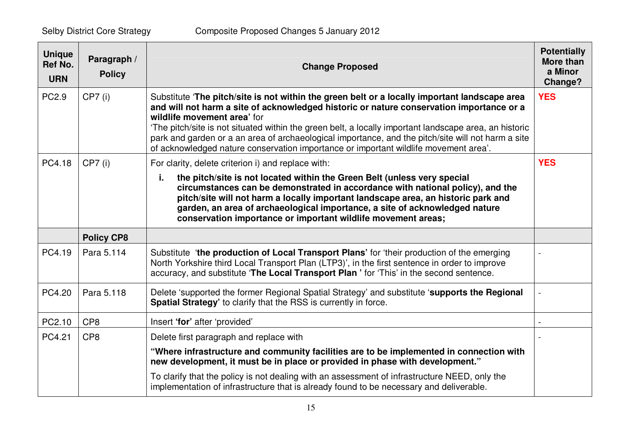| <b>Unique</b><br>Ref No.<br><b>URN</b> | Paragraph /<br><b>Policy</b> | <b>Change Proposed</b>                                                                                                                                                                                                                                                                                                                                                                                                                                                                                                           | <b>Potentially</b><br><b>More than</b><br>a Minor<br>Change? |
|----------------------------------------|------------------------------|----------------------------------------------------------------------------------------------------------------------------------------------------------------------------------------------------------------------------------------------------------------------------------------------------------------------------------------------------------------------------------------------------------------------------------------------------------------------------------------------------------------------------------|--------------------------------------------------------------|
| PC2.9                                  | $CP7$ (i)                    | Substitute 'The pitch/site is not within the green belt or a locally important landscape area<br>and will not harm a site of acknowledged historic or nature conservation importance or a<br>wildlife movement area' for<br>'The pitch/site is not situated within the green belt, a locally important landscape area, an historic<br>park and garden or a an area of archaeological importance, and the pitch/site will not harm a site<br>of acknowledged nature conservation importance or important wildlife movement area'. | <b>YES</b>                                                   |
| PC4.18                                 | $CP7$ (i)                    | For clarity, delete criterion i) and replace with:                                                                                                                                                                                                                                                                                                                                                                                                                                                                               | <b>YES</b>                                                   |
|                                        |                              | the pitch/site is not located within the Green Belt (unless very special<br>j.<br>circumstances can be demonstrated in accordance with national policy), and the<br>pitch/site will not harm a locally important landscape area, an historic park and<br>garden, an area of archaeological importance, a site of acknowledged nature<br>conservation importance or important wildlife movement areas;                                                                                                                            |                                                              |
|                                        | <b>Policy CP8</b>            |                                                                                                                                                                                                                                                                                                                                                                                                                                                                                                                                  |                                                              |
| PC4.19                                 | Para 5.114                   | Substitute 'the production of Local Transport Plans' for 'their production of the emerging<br>North Yorkshire third Local Transport Plan (LTP3)', in the first sentence in order to improve<br>accuracy, and substitute 'The Local Transport Plan' for 'This' in the second sentence.                                                                                                                                                                                                                                            |                                                              |
| PC4.20                                 | Para 5.118                   | Delete 'supported the former Regional Spatial Strategy' and substitute 'supports the Regional<br>Spatial Strategy' to clarify that the RSS is currently in force.                                                                                                                                                                                                                                                                                                                                                                |                                                              |
| PC2.10                                 | CP <sub>8</sub>              | Insert 'for' after 'provided'                                                                                                                                                                                                                                                                                                                                                                                                                                                                                                    |                                                              |
| PC4.21                                 | CP <sub>8</sub>              | Delete first paragraph and replace with                                                                                                                                                                                                                                                                                                                                                                                                                                                                                          |                                                              |
|                                        |                              | "Where infrastructure and community facilities are to be implemented in connection with<br>new development, it must be in place or provided in phase with development."                                                                                                                                                                                                                                                                                                                                                          |                                                              |
|                                        |                              | To clarify that the policy is not dealing with an assessment of infrastructure NEED, only the<br>implementation of infrastructure that is already found to be necessary and deliverable.                                                                                                                                                                                                                                                                                                                                         |                                                              |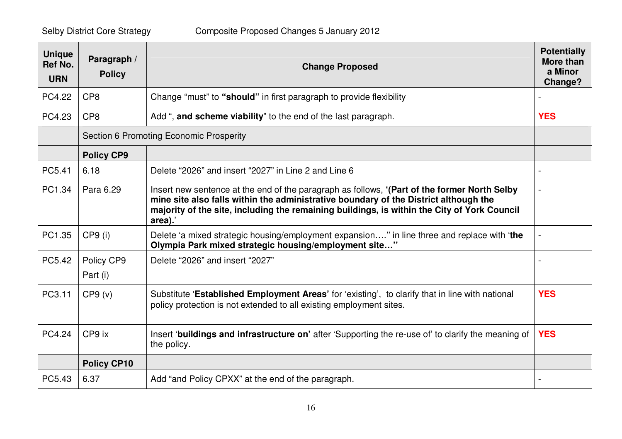| <b>Unique</b><br><b>Ref No.</b><br><b>URN</b> | Paragraph /<br><b>Policy</b> | <b>Change Proposed</b>                                                                                                                                                                                                                                                                         | <b>Potentially</b><br><b>More than</b><br>a Minor<br>Change? |
|-----------------------------------------------|------------------------------|------------------------------------------------------------------------------------------------------------------------------------------------------------------------------------------------------------------------------------------------------------------------------------------------|--------------------------------------------------------------|
| PC4.22                                        | CP <sub>8</sub>              | Change "must" to "should" in first paragraph to provide flexibility                                                                                                                                                                                                                            |                                                              |
| PC4.23                                        | CP <sub>8</sub>              | Add ", and scheme viability" to the end of the last paragraph.                                                                                                                                                                                                                                 | <b>YES</b>                                                   |
|                                               |                              | Section 6 Promoting Economic Prosperity                                                                                                                                                                                                                                                        |                                                              |
|                                               | <b>Policy CP9</b>            |                                                                                                                                                                                                                                                                                                |                                                              |
| PC5.41                                        | 6.18                         | Delete "2026" and insert "2027" in Line 2 and Line 6                                                                                                                                                                                                                                           | $\blacksquare$                                               |
| PC1.34                                        | Para 6.29                    | Insert new sentence at the end of the paragraph as follows, '(Part of the former North Selby<br>mine site also falls within the administrative boundary of the District although the<br>majority of the site, including the remaining buildings, is within the City of York Council<br>area).' |                                                              |
| PC1.35                                        | $CP9$ (i)                    | Delete 'a mixed strategic housing/employment expansion" in line three and replace with 'the<br>Olympia Park mixed strategic housing/employment site"                                                                                                                                           |                                                              |
| PC5.42                                        | Policy CP9<br>Part (i)       | Delete "2026" and insert "2027"                                                                                                                                                                                                                                                                |                                                              |
| PC3.11                                        | CP9 (v)                      | Substitute 'Established Employment Areas' for 'existing', to clarify that in line with national<br>policy protection is not extended to all existing employment sites.                                                                                                                         | <b>YES</b>                                                   |
| PC4.24                                        | CP9 ix                       | Insert 'buildings and infrastructure on' after 'Supporting the re-use of' to clarify the meaning of<br>the policy.                                                                                                                                                                             | <b>YES</b>                                                   |
|                                               | <b>Policy CP10</b>           |                                                                                                                                                                                                                                                                                                |                                                              |
| PC5.43                                        | 6.37                         | Add "and Policy CPXX" at the end of the paragraph.                                                                                                                                                                                                                                             |                                                              |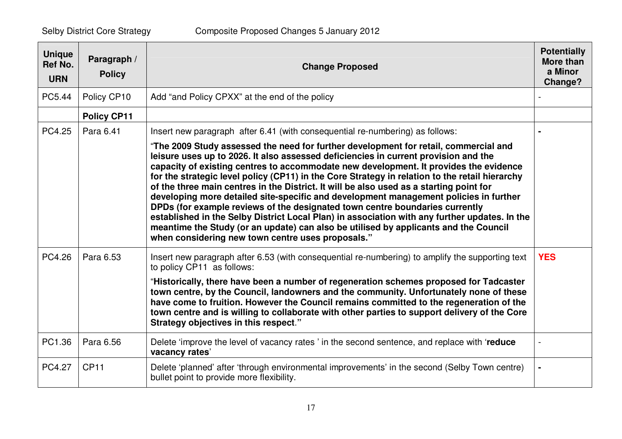| <b>Unique</b><br><b>Ref No.</b><br><b>URN</b> | Paragraph /<br><b>Policy</b> | <b>Change Proposed</b>                                                                                                                                                                                                                                                                                                                                                                                                                                                                                                                                                                                                                                                                                                                                                                                                                                                                   | <b>Potentially</b><br><b>More than</b><br>a Minor<br>Change? |
|-----------------------------------------------|------------------------------|------------------------------------------------------------------------------------------------------------------------------------------------------------------------------------------------------------------------------------------------------------------------------------------------------------------------------------------------------------------------------------------------------------------------------------------------------------------------------------------------------------------------------------------------------------------------------------------------------------------------------------------------------------------------------------------------------------------------------------------------------------------------------------------------------------------------------------------------------------------------------------------|--------------------------------------------------------------|
| PC5.44                                        | Policy CP10                  | Add "and Policy CPXX" at the end of the policy                                                                                                                                                                                                                                                                                                                                                                                                                                                                                                                                                                                                                                                                                                                                                                                                                                           |                                                              |
|                                               | <b>Policy CP11</b>           |                                                                                                                                                                                                                                                                                                                                                                                                                                                                                                                                                                                                                                                                                                                                                                                                                                                                                          |                                                              |
| PC4.25                                        | Para 6.41                    | Insert new paragraph after 6.41 (with consequential re-numbering) as follows:                                                                                                                                                                                                                                                                                                                                                                                                                                                                                                                                                                                                                                                                                                                                                                                                            |                                                              |
|                                               |                              | "The 2009 Study assessed the need for further development for retail, commercial and<br>leisure uses up to 2026. It also assessed deficiencies in current provision and the<br>capacity of existing centres to accommodate new development. It provides the evidence<br>for the strategic level policy (CP11) in the Core Strategy in relation to the retail hierarchy<br>of the three main centres in the District. It will be also used as a starting point for<br>developing more detailed site-specific and development management policies in further<br>DPDs (for example reviews of the designated town centre boundaries currently<br>established in the Selby District Local Plan) in association with any further updates. In the<br>meantime the Study (or an update) can also be utilised by applicants and the Council<br>when considering new town centre uses proposals." |                                                              |
| PC4.26                                        | Para 6.53                    | Insert new paragraph after 6.53 (with consequential re-numbering) to amplify the supporting text<br>to policy CP11 as follows:                                                                                                                                                                                                                                                                                                                                                                                                                                                                                                                                                                                                                                                                                                                                                           | <b>YES</b>                                                   |
|                                               |                              | "Historically, there have been a number of regeneration schemes proposed for Tadcaster<br>town centre, by the Council, landowners and the community. Unfortunately none of these<br>have come to fruition. However the Council remains committed to the regeneration of the<br>town centre and is willing to collaborate with other parties to support delivery of the Core<br>Strategy objectives in this respect."                                                                                                                                                                                                                                                                                                                                                                                                                                                                     |                                                              |
| PC1.36                                        | Para 6.56                    | Delete 'improve the level of vacancy rates' in the second sentence, and replace with 'reduce<br>vacancy rates'                                                                                                                                                                                                                                                                                                                                                                                                                                                                                                                                                                                                                                                                                                                                                                           |                                                              |
| PC4.27                                        | <b>CP11</b>                  | Delete 'planned' after 'through environmental improvements' in the second (Selby Town centre)<br>bullet point to provide more flexibility.                                                                                                                                                                                                                                                                                                                                                                                                                                                                                                                                                                                                                                                                                                                                               |                                                              |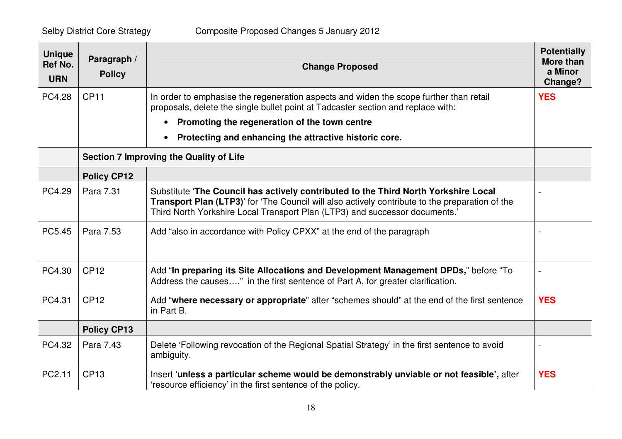| <b>Unique</b><br><b>Ref No.</b><br><b>URN</b> | Paragraph /<br><b>Policy</b> | <b>Change Proposed</b>                                                                                                                                                                                                                                                | <b>Potentially</b><br><b>More than</b><br>a Minor<br>Change? |
|-----------------------------------------------|------------------------------|-----------------------------------------------------------------------------------------------------------------------------------------------------------------------------------------------------------------------------------------------------------------------|--------------------------------------------------------------|
| PC4.28                                        | <b>CP11</b>                  | In order to emphasise the regeneration aspects and widen the scope further than retail<br>proposals, delete the single bullet point at Tadcaster section and replace with:                                                                                            | <b>YES</b>                                                   |
|                                               |                              | Promoting the regeneration of the town centre<br>$\bullet$                                                                                                                                                                                                            |                                                              |
|                                               |                              | Protecting and enhancing the attractive historic core.<br>$\bullet$                                                                                                                                                                                                   |                                                              |
|                                               |                              | <b>Section 7 Improving the Quality of Life</b>                                                                                                                                                                                                                        |                                                              |
|                                               | <b>Policy CP12</b>           |                                                                                                                                                                                                                                                                       |                                                              |
| PC4.29                                        | Para 7.31                    | Substitute 'The Council has actively contributed to the Third North Yorkshire Local<br>Transport Plan (LTP3)' for 'The Council will also actively contribute to the preparation of the<br>Third North Yorkshire Local Transport Plan (LTP3) and successor documents.' |                                                              |
| PC5.45                                        | Para 7.53                    | Add "also in accordance with Policy CPXX" at the end of the paragraph                                                                                                                                                                                                 |                                                              |
| PC4.30                                        | <b>CP12</b>                  | Add "In preparing its Site Allocations and Development Management DPDs," before "To<br>Address the causes" in the first sentence of Part A, for greater clarification.                                                                                                |                                                              |
| PC4.31                                        | <b>CP12</b>                  | Add "where necessary or appropriate" after "schemes should" at the end of the first sentence<br>in Part B.                                                                                                                                                            | <b>YES</b>                                                   |
|                                               | <b>Policy CP13</b>           |                                                                                                                                                                                                                                                                       |                                                              |
| PC4.32                                        | Para 7.43                    | Delete 'Following revocation of the Regional Spatial Strategy' in the first sentence to avoid<br>ambiguity.                                                                                                                                                           |                                                              |
| PC2.11                                        | <b>CP13</b>                  | Insert 'unless a particular scheme would be demonstrably unviable or not feasible', after<br>'resource efficiency' in the first sentence of the policy.                                                                                                               | <b>YES</b>                                                   |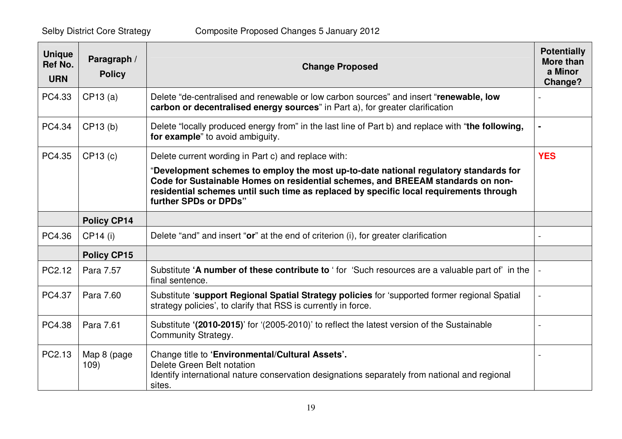| <b>Unique</b><br><b>Ref No.</b><br><b>URN</b> | Paragraph /<br><b>Policy</b> | <b>Change Proposed</b>                                                                                                                                                                                                                                                                     | <b>Potentially</b><br>More than<br>a Minor<br>Change? |
|-----------------------------------------------|------------------------------|--------------------------------------------------------------------------------------------------------------------------------------------------------------------------------------------------------------------------------------------------------------------------------------------|-------------------------------------------------------|
| PC4.33                                        | CP13(a)                      | Delete "de-centralised and renewable or low carbon sources" and insert "renewable, low<br>carbon or decentralised energy sources" in Part a), for greater clarification                                                                                                                    |                                                       |
| PC4.34                                        | CP13(b)                      | Delete "locally produced energy from" in the last line of Part b) and replace with "the following,<br>for example" to avoid ambiguity.                                                                                                                                                     |                                                       |
| PC4.35                                        | CP13 (c)                     | Delete current wording in Part c) and replace with:                                                                                                                                                                                                                                        | <b>YES</b>                                            |
|                                               |                              | "Development schemes to employ the most up-to-date national regulatory standards for<br>Code for Sustainable Homes on residential schemes, and BREEAM standards on non-<br>residential schemes until such time as replaced by specific local requirements through<br>further SPDs or DPDs" |                                                       |
|                                               | <b>Policy CP14</b>           |                                                                                                                                                                                                                                                                                            |                                                       |
| PC4.36                                        | CP14 (i)                     | Delete "and" and insert "or" at the end of criterion (i), for greater clarification                                                                                                                                                                                                        |                                                       |
|                                               | <b>Policy CP15</b>           |                                                                                                                                                                                                                                                                                            |                                                       |
| PC2.12                                        | Para 7.57                    | Substitute 'A number of these contribute to ' for 'Such resources are a valuable part of' in the<br>final sentence.                                                                                                                                                                        |                                                       |
| PC4.37                                        | Para 7.60                    | Substitute 'support Regional Spatial Strategy policies for 'supported former regional Spatial<br>strategy policies', to clarify that RSS is currently in force.                                                                                                                            |                                                       |
| PC4.38                                        | Para 7.61                    | Substitute '(2010-2015)' for '(2005-2010)' to reflect the latest version of the Sustainable<br>Community Strategy.                                                                                                                                                                         |                                                       |
| PC2.13                                        | Map 8 (page<br>109)          | Change title to 'Environmental/Cultural Assets'.<br>Delete Green Belt notation<br>Identify international nature conservation designations separately from national and regional<br>sites.                                                                                                  |                                                       |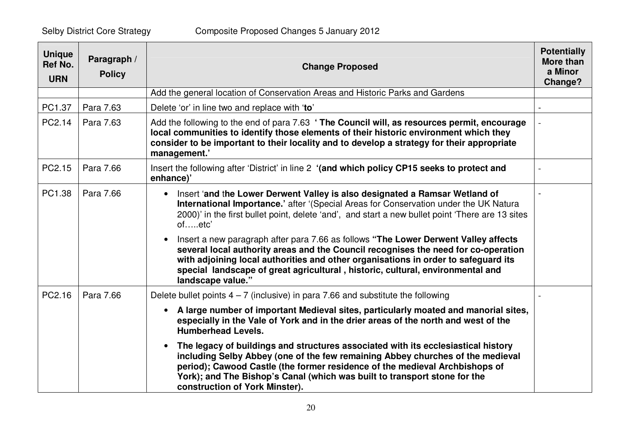| <b>Unique</b><br>Ref No.<br><b>URN</b> | Paragraph /<br><b>Policy</b> | <b>Change Proposed</b>                                                                                                                                                                                                                                                                                                                                                              | <b>Potentially</b><br>More than<br>a Minor<br>Change? |
|----------------------------------------|------------------------------|-------------------------------------------------------------------------------------------------------------------------------------------------------------------------------------------------------------------------------------------------------------------------------------------------------------------------------------------------------------------------------------|-------------------------------------------------------|
|                                        |                              | Add the general location of Conservation Areas and Historic Parks and Gardens                                                                                                                                                                                                                                                                                                       |                                                       |
| PC1.37                                 | Para 7.63                    | Delete 'or' in line two and replace with 'to'                                                                                                                                                                                                                                                                                                                                       |                                                       |
| PC2.14                                 | Para 7.63                    | Add the following to the end of para 7.63 ' The Council will, as resources permit, encourage<br>local communities to identify those elements of their historic environment which they<br>consider to be important to their locality and to develop a strategy for their appropriate<br>management.'                                                                                 |                                                       |
| PC2.15                                 | Para 7.66                    | Insert the following after 'District' in line 2 '(and which policy CP15 seeks to protect and<br>enhance)'                                                                                                                                                                                                                                                                           |                                                       |
| PC1.38                                 | Para 7.66                    | Insert 'and the Lower Derwent Valley is also designated a Ramsar Wetland of<br>$\bullet$<br>International Importance.' after '(Special Areas for Conservation under the UK Natura<br>2000)' in the first bullet point, delete 'and', and start a new bullet point 'There are 13 sites<br>ofetc'                                                                                     |                                                       |
|                                        |                              | Insert a new paragraph after para 7.66 as follows "The Lower Derwent Valley affects<br>$\bullet$<br>several local authority areas and the Council recognises the need for co-operation<br>with adjoining local authorities and other organisations in order to safeguard its<br>special landscape of great agricultural, historic, cultural, environmental and<br>landscape value." |                                                       |
| PC2.16                                 | Para 7.66                    | Delete bullet points $4 - 7$ (inclusive) in para 7.66 and substitute the following                                                                                                                                                                                                                                                                                                  |                                                       |
|                                        |                              | A large number of important Medieval sites, particularly moated and manorial sites,<br>$\bullet$<br>especially in the Vale of York and in the drier areas of the north and west of the<br><b>Humberhead Levels.</b>                                                                                                                                                                 |                                                       |
|                                        |                              | The legacy of buildings and structures associated with its ecclesiastical history<br>$\bullet$<br>including Selby Abbey (one of the few remaining Abbey churches of the medieval<br>period); Cawood Castle (the former residence of the medieval Archbishops of<br>York); and The Bishop's Canal (which was built to transport stone for the<br>construction of York Minster).      |                                                       |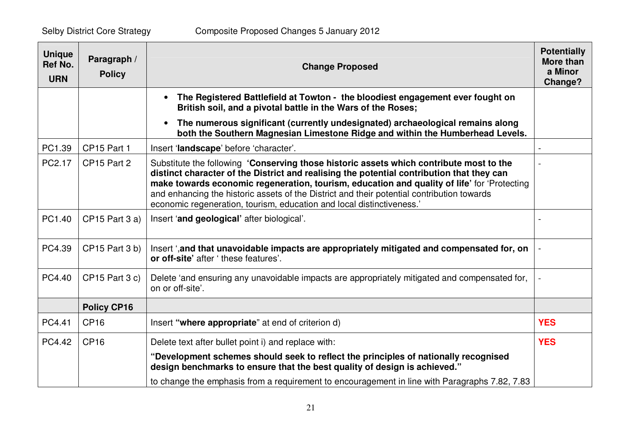| <b>Unique</b><br><b>Ref No.</b><br><b>URN</b> | Paragraph /<br><b>Policy</b> | <b>Change Proposed</b>                                                                                                                                                                                                                                                                                                                                                                                                                                     | <b>Potentially</b><br>More than<br>a Minor<br>Change? |
|-----------------------------------------------|------------------------------|------------------------------------------------------------------------------------------------------------------------------------------------------------------------------------------------------------------------------------------------------------------------------------------------------------------------------------------------------------------------------------------------------------------------------------------------------------|-------------------------------------------------------|
|                                               |                              | The Registered Battlefield at Towton - the bloodiest engagement ever fought on<br>British soil, and a pivotal battle in the Wars of the Roses;                                                                                                                                                                                                                                                                                                             |                                                       |
|                                               |                              | The numerous significant (currently undesignated) archaeological remains along<br>$\bullet$<br>both the Southern Magnesian Limestone Ridge and within the Humberhead Levels.                                                                                                                                                                                                                                                                               |                                                       |
| PC1.39                                        | CP15 Part 1                  | Insert 'landscape' before 'character'.                                                                                                                                                                                                                                                                                                                                                                                                                     |                                                       |
| PC2.17                                        | CP15 Part 2                  | Substitute the following 'Conserving those historic assets which contribute most to the<br>distinct character of the District and realising the potential contribution that they can<br>make towards economic regeneration, tourism, education and quality of life' for 'Protecting<br>and enhancing the historic assets of the District and their potential contribution towards<br>economic regeneration, tourism, education and local distinctiveness.' |                                                       |
| PC1.40                                        | CP15 Part 3 a)               | Insert 'and geological' after biological'.                                                                                                                                                                                                                                                                                                                                                                                                                 |                                                       |
| PC4.39                                        | CP15 Part 3 b)               | Insert ', and that unavoidable impacts are appropriately mitigated and compensated for, on<br>or off-site' after 'these features'.                                                                                                                                                                                                                                                                                                                         |                                                       |
| PC4.40                                        | $CP15$ Part 3 c)             | Delete 'and ensuring any unavoidable impacts are appropriately mitigated and compensated for,<br>on or off-site'.                                                                                                                                                                                                                                                                                                                                          |                                                       |
|                                               | <b>Policy CP16</b>           |                                                                                                                                                                                                                                                                                                                                                                                                                                                            |                                                       |
| PC4.41                                        | CP <sub>16</sub>             | Insert "where appropriate" at end of criterion d)                                                                                                                                                                                                                                                                                                                                                                                                          | <b>YES</b>                                            |
| PC4.42                                        | CP16                         | Delete text after bullet point i) and replace with:                                                                                                                                                                                                                                                                                                                                                                                                        | <b>YES</b>                                            |
|                                               |                              | "Development schemes should seek to reflect the principles of nationally recognised<br>design benchmarks to ensure that the best quality of design is achieved."                                                                                                                                                                                                                                                                                           |                                                       |
|                                               |                              | to change the emphasis from a requirement to encouragement in line with Paragraphs 7.82, 7.83                                                                                                                                                                                                                                                                                                                                                              |                                                       |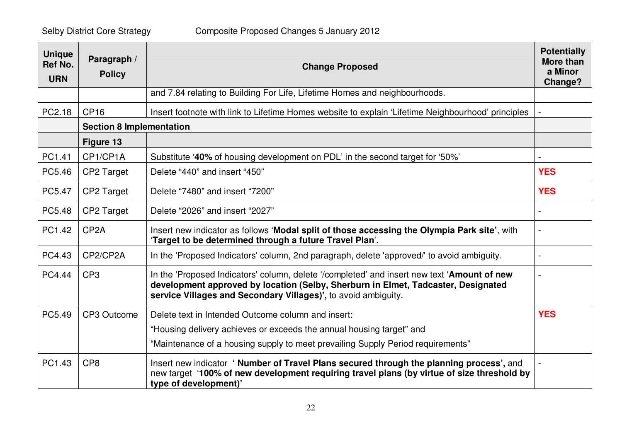| <b>Unique</b><br><b>Ref No.</b><br><b>URN</b> | Paragraph /<br><b>Policy</b>    | <b>Change Proposed</b>                                                                                                                                                                                                                             | <b>Potentially</b><br>More than<br>a Minor<br>Change? |
|-----------------------------------------------|---------------------------------|----------------------------------------------------------------------------------------------------------------------------------------------------------------------------------------------------------------------------------------------------|-------------------------------------------------------|
|                                               |                                 | and 7.84 relating to Building For Life, Lifetime Homes and neighbourhoods.                                                                                                                                                                         |                                                       |
| PC2.18                                        | <b>CP16</b>                     | Insert footnote with link to Lifetime Homes website to explain 'Lifetime Neighbourhood' principles                                                                                                                                                 |                                                       |
|                                               | <b>Section 8 Implementation</b> |                                                                                                                                                                                                                                                    |                                                       |
|                                               | Figure 13                       |                                                                                                                                                                                                                                                    |                                                       |
| PC1.41                                        | CP1/CP1A                        | Substitute '40% of housing development on PDL' in the second target for '50%'                                                                                                                                                                      |                                                       |
| PC5.46                                        | CP2 Target                      | Delete "440" and insert "450"                                                                                                                                                                                                                      | <b>YES</b>                                            |
| PC5.47                                        | CP2 Target                      | Delete "7480" and insert "7200"                                                                                                                                                                                                                    | <b>YES</b>                                            |
| PC5.48                                        | CP2 Target                      | Delete "2026" and insert "2027"                                                                                                                                                                                                                    |                                                       |
| PC1.42                                        | CP <sub>2</sub> A               | Insert new indicator as follows 'Modal split of those accessing the Olympia Park site', with<br>'Target to be determined through a future Travel Plan'.                                                                                            | $\blacksquare$                                        |
| PC4.43                                        | CP2/CP2A                        | In the 'Proposed Indicators' column, 2nd paragraph, delete 'approved/' to avoid ambiguity.                                                                                                                                                         |                                                       |
| PC4.44                                        | CP <sub>3</sub>                 | In the 'Proposed Indicators' column, delete '/completed' and insert new text 'Amount of new<br>development approved by location (Selby, Sherburn in Elmet, Tadcaster, Designated<br>service Villages and Secondary Villages)', to avoid ambiguity. |                                                       |
| PC5.49                                        | CP3 Outcome                     | Delete text in Intended Outcome column and insert:                                                                                                                                                                                                 | <b>YES</b>                                            |
|                                               |                                 | "Housing delivery achieves or exceeds the annual housing target" and                                                                                                                                                                               |                                                       |
|                                               |                                 | "Maintenance of a housing supply to meet prevailing Supply Period requirements"                                                                                                                                                                    |                                                       |
| PC1.43                                        | CP <sub>8</sub>                 | Insert new indicator 'Number of Travel Plans secured through the planning process', and<br>new target '100% of new development requiring travel plans (by virtue of size threshold by<br>type of development)'                                     |                                                       |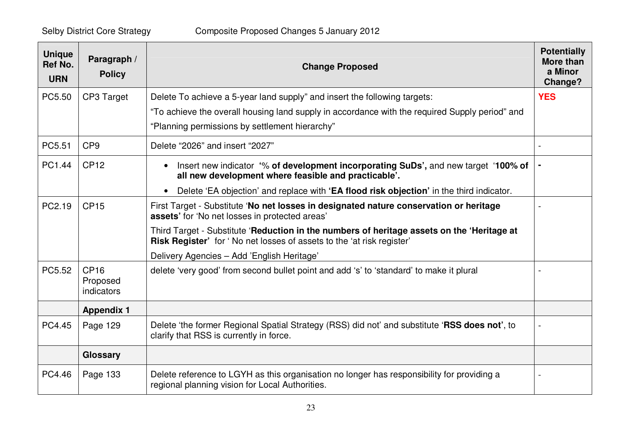| <b>Unique</b><br>Ref No.<br><b>URN</b> | Paragraph /<br><b>Policy</b>                 | <b>Change Proposed</b>                                                                                                                                                     | <b>Potentially</b><br>More than<br>a Minor<br>Change? |
|----------------------------------------|----------------------------------------------|----------------------------------------------------------------------------------------------------------------------------------------------------------------------------|-------------------------------------------------------|
| PC5.50                                 | CP3 Target                                   | Delete To achieve a 5-year land supply" and insert the following targets:                                                                                                  | <b>YES</b>                                            |
|                                        |                                              | "To achieve the overall housing land supply in accordance with the required Supply period" and                                                                             |                                                       |
|                                        |                                              | "Planning permissions by settlement hierarchy"                                                                                                                             |                                                       |
| PC5.51                                 | CP <sub>9</sub>                              | Delete "2026" and insert "2027"                                                                                                                                            |                                                       |
| PC1.44                                 | CP12                                         | Insert new indicator '% of development incorporating SuDs', and new target '100% of<br>$\bullet$<br>all new development where feasible and practicable'.                   |                                                       |
|                                        |                                              | Delete 'EA objection' and replace with 'EA flood risk objection' in the third indicator.                                                                                   |                                                       |
| PC2.19                                 | <b>CP15</b>                                  | First Target - Substitute 'No net losses in designated nature conservation or heritage<br>assets' for 'No net losses in protected areas'                                   |                                                       |
|                                        |                                              | Third Target - Substitute 'Reduction in the numbers of heritage assets on the 'Heritage at<br><b>Risk Register'</b> for 'No net losses of assets to the 'at risk register' |                                                       |
|                                        |                                              | Delivery Agencies - Add 'English Heritage'                                                                                                                                 |                                                       |
| PC5.52                                 | <b>CP16</b><br>Proposed<br><i>indicators</i> | delete 'very good' from second bullet point and add 's' to 'standard' to make it plural                                                                                    |                                                       |
|                                        | <b>Appendix 1</b>                            |                                                                                                                                                                            |                                                       |
| PC4.45                                 | Page 129                                     | Delete 'the former Regional Spatial Strategy (RSS) did not' and substitute 'RSS does not', to<br>clarify that RSS is currently in force.                                   |                                                       |
|                                        | Glossary                                     |                                                                                                                                                                            |                                                       |
| PC4.46                                 | Page 133                                     | Delete reference to LGYH as this organisation no longer has responsibility for providing a<br>regional planning vision for Local Authorities.                              |                                                       |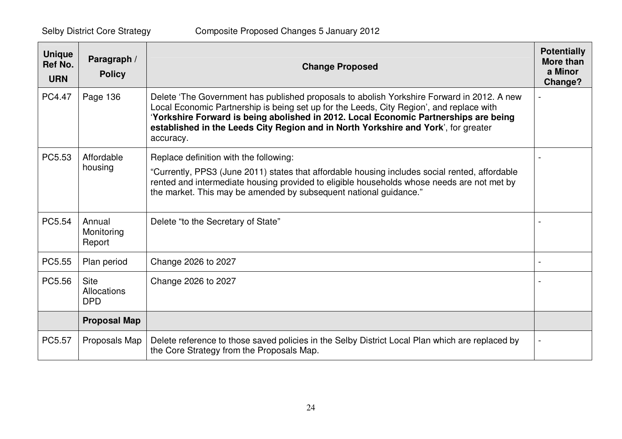| <b>Unique</b><br>Ref No.<br><b>URN</b> | Paragraph /<br><b>Policy</b>                    | <b>Change Proposed</b>                                                                                                                                                                                                                                                                                                                                                            | <b>Potentially</b><br><b>More than</b><br>a Minor<br>Change? |
|----------------------------------------|-------------------------------------------------|-----------------------------------------------------------------------------------------------------------------------------------------------------------------------------------------------------------------------------------------------------------------------------------------------------------------------------------------------------------------------------------|--------------------------------------------------------------|
| PC4.47                                 | Page 136                                        | Delete 'The Government has published proposals to abolish Yorkshire Forward in 2012. A new<br>Local Economic Partnership is being set up for the Leeds, City Region', and replace with<br>'Yorkshire Forward is being abolished in 2012. Local Economic Partnerships are being<br>established in the Leeds City Region and in North Yorkshire and York', for greater<br>accuracy. |                                                              |
| PC5.53                                 | Affordable<br>housing                           | Replace definition with the following:<br>"Currently, PPS3 (June 2011) states that affordable housing includes social rented, affordable<br>rented and intermediate housing provided to eligible households whose needs are not met by<br>the market. This may be amended by subsequent national guidance."                                                                       |                                                              |
| PC5.54                                 | Annual<br>Monitoring<br>Report                  | Delete "to the Secretary of State"                                                                                                                                                                                                                                                                                                                                                |                                                              |
| PC5.55                                 | Plan period                                     | Change 2026 to 2027                                                                                                                                                                                                                                                                                                                                                               |                                                              |
| PC5.56                                 | <b>Site</b><br><b>Allocations</b><br><b>DPD</b> | Change 2026 to 2027                                                                                                                                                                                                                                                                                                                                                               |                                                              |
|                                        | <b>Proposal Map</b>                             |                                                                                                                                                                                                                                                                                                                                                                                   |                                                              |
| PC5.57                                 | Proposals Map                                   | Delete reference to those saved policies in the Selby District Local Plan which are replaced by<br>the Core Strategy from the Proposals Map.                                                                                                                                                                                                                                      |                                                              |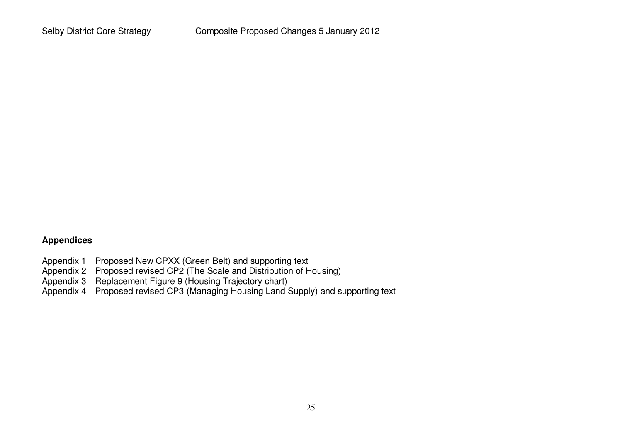### **Appendices**

- Appendix 1 Proposed New CPXX (Green Belt) and supporting text
- Appendix 2 Proposed revised CP2 (The Scale and Distribution of Housing)
- Appendix 3 Replacement Figure 9 (Housing Trajectory chart)
- Appendix 4 Proposed revised CP3 (Managing Housing Land Supply) and supporting text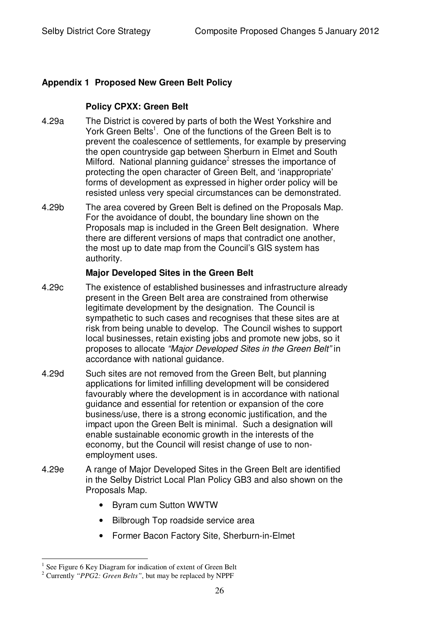## **Appendix 1 Proposed New Green Belt Policy**

### **Policy CPXX: Green Belt**

- 4.29a The District is covered by parts of both the West Yorkshire and York Green Belts<sup>1</sup>. One of the functions of the Green Belt is to prevent the coalescence of settlements, for example by preserving the open countryside gap between Sherburn in Elmet and South Milford. National planning guidance<sup>2</sup> stresses the importance of protecting the open character of Green Belt, and 'inappropriate' forms of development as expressed in higher order policy will be resisted unless very special circumstances can be demonstrated.
- 4.29b The area covered by Green Belt is defined on the Proposals Map. For the avoidance of doubt, the boundary line shown on the Proposals map is included in the Green Belt designation. Where there are different versions of maps that contradict one another, the most up to date map from the Council's GIS system has authority.

#### **Major Developed Sites in the Green Belt**

- 4.29c The existence of established businesses and infrastructure already present in the Green Belt area are constrained from otherwise legitimate development by the designation. The Council is sympathetic to such cases and recognises that these sites are at risk from being unable to develop. The Council wishes to support local businesses, retain existing jobs and promote new jobs, so it proposes to allocate *"Major Developed Sites in the Green Belt"* in accordance with national guidance.
- 4.29d Such sites are not removed from the Green Belt, but planning applications for limited infilling development will be considered favourably where the development is in accordance with national guidance and essential for retention or expansion of the core business/use, there is a strong economic justification, and the impact upon the Green Belt is minimal. Such a designation will enable sustainable economic growth in the interests of the economy, but the Council will resist change of use to nonemployment uses.
- 4.29e A range of Major Developed Sites in the Green Belt are identified in the Selby District Local Plan Policy GB3 and also shown on the Proposals Map.
	- Byram cum Sutton WWTW
	- Bilbrough Top roadside service area
	- Former Bacon Factory Site, Sherburn-in-Elmet

<sup>1</sup> See Figure 6 Key Diagram for indication of extent of Green Belt

<sup>2</sup> Currently *"PPG2: Green Belts"*, but may be replaced by NPPF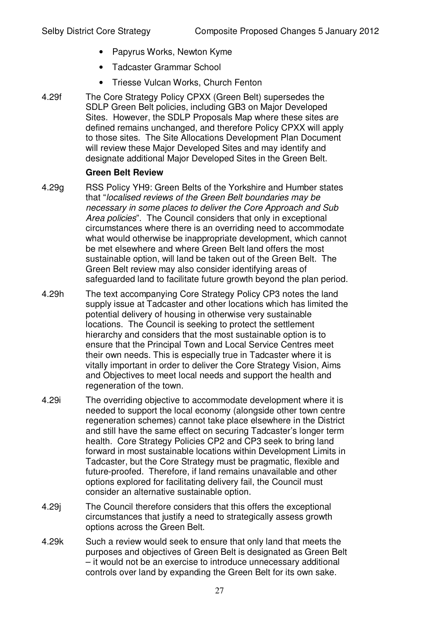- Papyrus Works, Newton Kyme
- Tadcaster Grammar School
- Triesse Vulcan Works, Church Fenton
- 4.29f The Core Strategy Policy CPXX (Green Belt) supersedes the SDLP Green Belt policies, including GB3 on Major Developed Sites. However, the SDLP Proposals Map where these sites are defined remains unchanged, and therefore Policy CPXX will apply to those sites. The Site Allocations Development Plan Document will review these Major Developed Sites and may identify and designate additional Major Developed Sites in the Green Belt.

### **Green Belt Review**

- 4.29g RSS Policy YH9: Green Belts of the Yorkshire and Humber states that "*localised reviews of the Green Belt boundaries may be necessary in some places to deliver the Core Approach and Sub Area policies*". The Council considers that only in exceptional circumstances where there is an overriding need to accommodate what would otherwise be inappropriate development, which cannot be met elsewhere and where Green Belt land offers the most sustainable option, will land be taken out of the Green Belt. The Green Belt review may also consider identifying areas of safeguarded land to facilitate future growth beyond the plan period.
- 4.29h The text accompanying Core Strategy Policy CP3 notes the land supply issue at Tadcaster and other locations which has limited the potential delivery of housing in otherwise very sustainable locations. The Council is seeking to protect the settlement hierarchy and considers that the most sustainable option is to ensure that the Principal Town and Local Service Centres meet their own needs. This is especially true in Tadcaster where it is vitally important in order to deliver the Core Strategy Vision, Aims and Objectives to meet local needs and support the health and regeneration of the town.
- 4.29i The overriding objective to accommodate development where it is needed to support the local economy (alongside other town centre regeneration schemes) cannot take place elsewhere in the District and still have the same effect on securing Tadcaster's longer term health. Core Strategy Policies CP2 and CP3 seek to bring land forward in most sustainable locations within Development Limits in Tadcaster, but the Core Strategy must be pragmatic, flexible and future-proofed. Therefore, if land remains unavailable and other options explored for facilitating delivery fail, the Council must consider an alternative sustainable option.
- 4.29j The Council therefore considers that this offers the exceptional circumstances that justify a need to strategically assess growth options across the Green Belt.
- 4.29k Such a review would seek to ensure that only land that meets the purposes and objectives of Green Belt is designated as Green Belt – it would not be an exercise to introduce unnecessary additional controls over land by expanding the Green Belt for its own sake.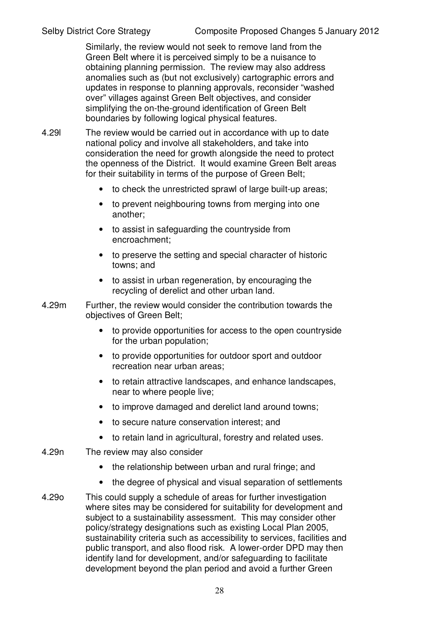Similarly, the review would not seek to remove land from the Green Belt where it is perceived simply to be a nuisance to obtaining planning permission. The review may also address anomalies such as (but not exclusively) cartographic errors and updates in response to planning approvals, reconsider "washed over" villages against Green Belt objectives, and consider simplifying the on-the-ground identification of Green Belt boundaries by following logical physical features.

- 4.29l The review would be carried out in accordance with up to date national policy and involve all stakeholders, and take into consideration the need for growth alongside the need to protect the openness of the District. It would examine Green Belt areas for their suitability in terms of the purpose of Green Belt;
	- to check the unrestricted sprawl of large built-up areas;
	- to prevent neighbouring towns from merging into one another;
	- to assist in safeguarding the countryside from encroachment;
	- to preserve the setting and special character of historic towns; and
	- to assist in urban regeneration, by encouraging the recycling of derelict and other urban land.
- 4.29m Further, the review would consider the contribution towards the objectives of Green Belt;
	- to provide opportunities for access to the open countryside for the urban population;
	- to provide opportunities for outdoor sport and outdoor recreation near urban areas;
	- to retain attractive landscapes, and enhance landscapes, near to where people live;
	- to improve damaged and derelict land around towns;
	- to secure nature conservation interest; and
	- to retain land in agricultural, forestry and related uses.
- 4.29n The review may also consider
	- the relationship between urban and rural fringe; and
	- the degree of physical and visual separation of settlements
- 4.29o This could supply a schedule of areas for further investigation where sites may be considered for suitability for development and subject to a sustainability assessment. This may consider other policy/strategy designations such as existing Local Plan 2005, sustainability criteria such as accessibility to services, facilities and public transport, and also flood risk. A lower-order DPD may then identify land for development, and/or safeguarding to facilitate development beyond the plan period and avoid a further Green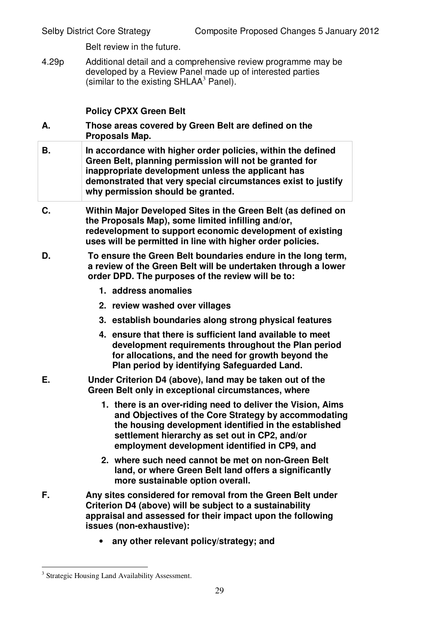Belt review in the future.

4.29p Additional detail and a comprehensive review programme may be developed by a Review Panel made up of interested parties (similar to the existing SHLAA $3$  Panel).

## **Policy CPXX Green Belt**

- **A. Those areas covered by Green Belt are defined on the Proposals Map.**
- **B. In accordance with higher order policies, within the defined Green Belt, planning permission will not be granted for inappropriate development unless the applicant has demonstrated that very special circumstances exist to justify why permission should be granted.**
- **C. Within Major Developed Sites in the Green Belt (as defined on the Proposals Map), some limited infilling and/or, redevelopment to support economic development of existing uses will be permitted in line with higher order policies.**
- **D. To ensure the Green Belt boundaries endure in the long term, a review of the Green Belt will be undertaken through a lower order DPD. The purposes of the review will be to:**
	- **1. address anomalies**
	- **2. review washed over villages**
	- **3. establish boundaries along strong physical features**
	- **4. ensure that there is sufficient land available to meet development requirements throughout the Plan period for allocations, and the need for growth beyond the Plan period by identifying Safeguarded Land.**
- **E. Under Criterion D4 (above), land may be taken out of the Green Belt only in exceptional circumstances, where**
	- **1. there is an over-riding need to deliver the Vision, Aims and Objectives of the Core Strategy by accommodating the housing development identified in the established settlement hierarchy as set out in CP2, and/or employment development identified in CP9, and**
	- **2. where such need cannot be met on non-Green Belt land, or where Green Belt land offers a significantly more sustainable option overall.**
- **F. Any sites considered for removal from the Green Belt under Criterion D4 (above) will be subject to a sustainability appraisal and assessed for their impact upon the following issues (non-exhaustive):**
	- **any other relevant policy/strategy; and**

<sup>&</sup>lt;sup>3</sup> Strategic Housing Land Availability Assessment.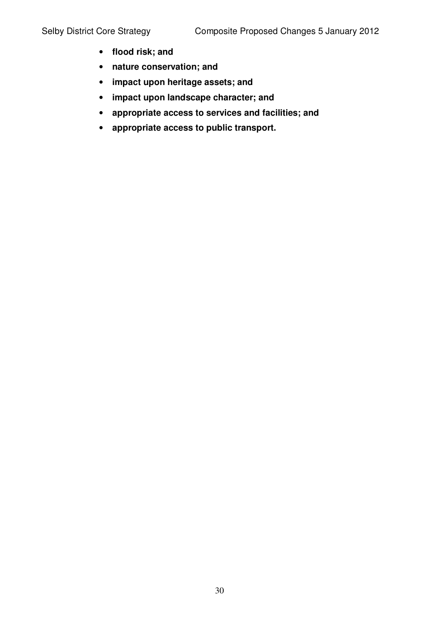- **flood risk; and**
- **nature conservation; and**
- **impact upon heritage assets; and**
- **impact upon landscape character; and**
- **appropriate access to services and facilities; and**
- **appropriate access to public transport.**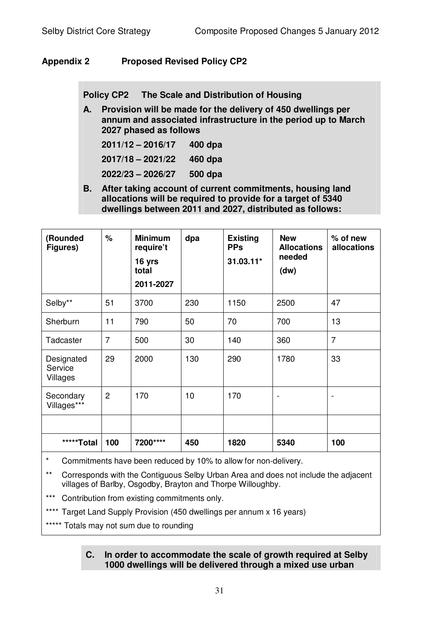# **Appendix 2 Proposed Revised Policy CP2**

**Policy CP2 The Scale and Distribution of Housing**

**A. Provision will be made for the delivery of 450 dwellings per annum and associated infrastructure in the period up to March 2027 phased as follows**

| $2011/12 - 2016/17$ | 400 dpa |
|---------------------|---------|
| $2017/18 - 2021/22$ | 460 dpa |
| 2022/23 - 2026/27   | 500 dpa |

**B. After taking account of current commitments, housing land allocations will be required to provide for a target of 5340 dwellings between 2011 and 2027, distributed as follows:**

| (Rounded<br>Figures)              | %              | <b>Minimum</b><br>require't<br>16 yrs<br>total<br>2011-2027 | dpa | <b>Existing</b><br><b>PPs</b><br>31.03.11* | <b>New</b><br><b>Allocations</b><br>needed<br>(dw) | $%$ of new<br>allocations |
|-----------------------------------|----------------|-------------------------------------------------------------|-----|--------------------------------------------|----------------------------------------------------|---------------------------|
| Selby**                           | 51             | 3700                                                        | 230 | 1150                                       | 2500                                               | 47                        |
| Sherburn                          | 11             | 790                                                         | 50  | 70                                         | 700                                                | 13                        |
| Tadcaster                         | $\overline{7}$ | 500                                                         | 30  | 140                                        | 360                                                | $\overline{7}$            |
| Designated<br>Service<br>Villages | 29             | 2000                                                        | 130 | 290                                        | 1780                                               | 33                        |
| Secondary<br>Villages***          | $\overline{2}$ | 170                                                         | 10  | 170                                        |                                                    |                           |
|                                   |                |                                                             |     |                                            |                                                    |                           |
| *****Total                        | 100            | 7200****                                                    | 450 | 1820                                       | 5340                                               | 100                       |

Commitments have been reduced by 10% to allow for non-delivery.

- \*\* Corresponds with the Contiguous Selby Urban Area and does not include the adjacent villages of Barlby, Osgodby, Brayton and Thorpe Willoughby.
- Contribution from existing commitments only.
- \*\*\*\* Target Land Supply Provision (450 dwellings per annum x 16 years)
- \*\*\*\*\* Totals may not sum due to rounding

### **C. In order to accommodate the scale of growth required at Selby 1000 dwellings will be delivered through a mixed use urban**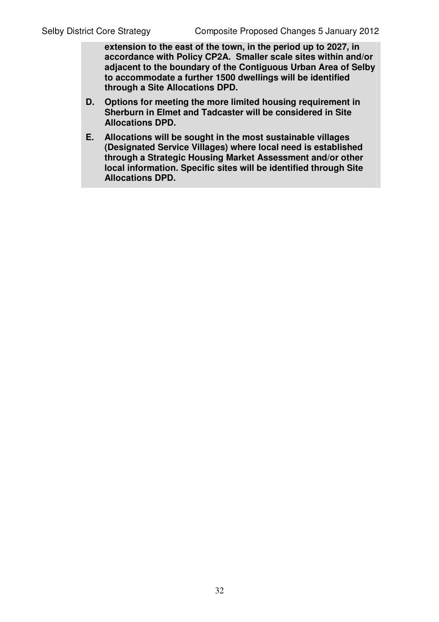**extension to the east of the town, in the period up to 2027, in accordance with Policy CP2A. Smaller scale sites within and/or adjacent to the boundary of the Contiguous Urban Area of Selby to accommodate a further 1500 dwellings will be identified through a Site Allocations DPD.**

- **D. Options for meeting the more limited housing requirement in Sherburn in Elmet and Tadcaster will be considered in Site Allocations DPD.**
- **E. Allocations will be sought in the most sustainable villages (Designated Service Villages) where local need is established through a Strategic Housing Market Assessment and/or other local information. Specific sites will be identified through Site Allocations DPD.**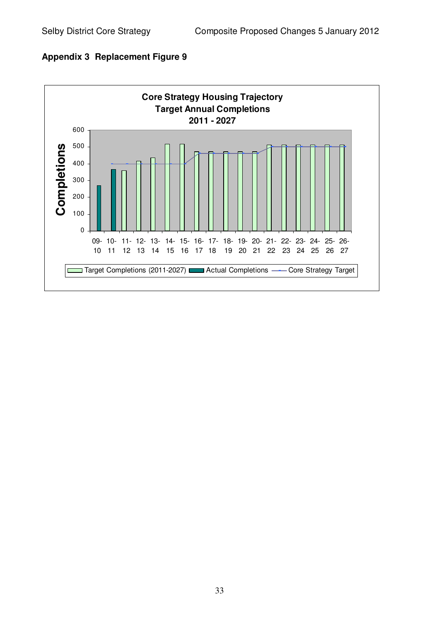

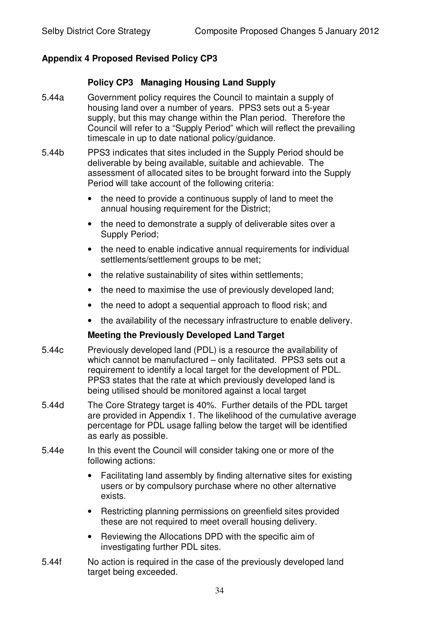## **Appendix 4 Proposed Revised Policy CP3**

#### **Policy CP3 Managing Housing Land Supply**

- 5.44a Government policy requires the Council to maintain a supply of housing land over a number of years. PPS3 sets out a 5-year supply, but this may change within the Plan period. Therefore the Council will refer to a "Supply Period" which will reflect the prevailing timescale in up to date national policy/guidance.
- 5.44b PPS3 indicates that sites included in the Supply Period should be deliverable by being available, suitable and achievable. The assessment of allocated sites to be brought forward into the Supply Period will take account of the following criteria:
	- the need to provide a continuous supply of land to meet the annual housing requirement for the District;
	- the need to demonstrate a supply of deliverable sites over a Supply Period;
	- the need to enable indicative annual requirements for individual settlements/settlement groups to be met;
	- the relative sustainability of sites within settlements;
	- the need to maximise the use of previously developed land;
	- the need to adopt a sequential approach to flood risk; and
	- the availability of the necessary infrastructure to enable delivery.

#### **Meeting the Previously Developed Land Target**

- 5.44c Previously developed land (PDL) is a resource the availability of which cannot be manufactured – only facilitated. PPS3 sets out a requirement to identify a local target for the development of PDL. PPS3 states that the rate at which previously developed land is being utilised should be monitored against a local target
- 5.44d The Core Strategy target is 40%. Further details of the PDL target are provided in Appendix 1. The likelihood of the cumulative average percentage for PDL usage falling below the target will be identified as early as possible.
- 5.44e In this event the Council will consider taking one or more of the following actions:
	- Facilitating land assembly by finding alternative sites for existing users or by compulsory purchase where no other alternative exists.
	- Restricting planning permissions on greenfield sites provided these are not required to meet overall housing delivery.
	- Reviewing the Allocations DPD with the specific aim of investigating further PDL sites.
- 5.44f No action is required in the case of the previously developed land target being exceeded.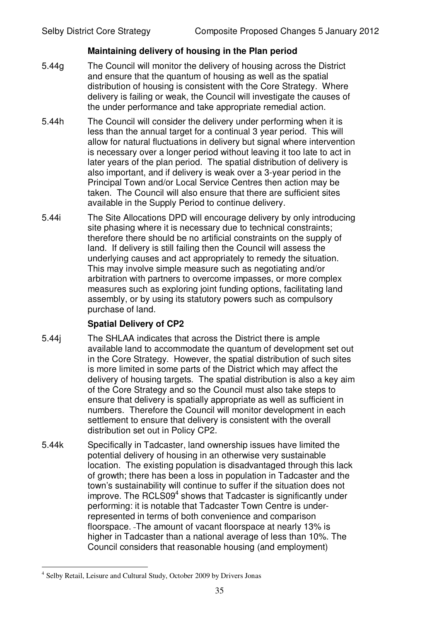### **Maintaining delivery of housing in the Plan period**

- 5.44g The Council will monitor the delivery of housing across the District and ensure that the quantum of housing as well as the spatial distribution of housing is consistent with the Core Strategy. Where delivery is failing or weak, the Council will investigate the causes of the under performance and take appropriate remedial action.
- 5.44h The Council will consider the delivery under performing when it is less than the annual target for a continual 3 year period. This will allow for natural fluctuations in delivery but signal where intervention is necessary over a longer period without leaving it too late to act in later years of the plan period. The spatial distribution of delivery is also important, and if delivery is weak over a 3-year period in the Principal Town and/or Local Service Centres then action may be taken. The Council will also ensure that there are sufficient sites available in the Supply Period to continue delivery.
- 5.44i The Site Allocations DPD will encourage delivery by only introducing site phasing where it is necessary due to technical constraints; therefore there should be no artificial constraints on the supply of land. If delivery is still failing then the Council will assess the underlying causes and act appropriately to remedy the situation. This may involve simple measure such as negotiating and/or arbitration with partners to overcome impasses, or more complex measures such as exploring joint funding options, facilitating land assembly, or by using its statutory powers such as compulsory purchase of land.

#### **Spatial Delivery of CP2**

- 5.44j The SHLAA indicates that across the District there is ample available land to accommodate the quantum of development set out in the Core Strategy. However, the spatial distribution of such sites is more limited in some parts of the District which may affect the delivery of housing targets. The spatial distribution is also a key aim of the Core Strategy and so the Council must also take steps to ensure that delivery is spatially appropriate as well as sufficient in numbers. Therefore the Council will monitor development in each settlement to ensure that delivery is consistent with the overall distribution set out in Policy CP2.
- 5.44k Specifically in Tadcaster, land ownership issues have limited the potential delivery of housing in an otherwise very sustainable location. The existing population is disadvantaged through this lack of growth; there has been a loss in population in Tadcaster and the town's sustainability will continue to suffer if the situation does not improve. The RCLS09<sup>4</sup> shows that Tadcaster is significantly under performing: it is notable that Tadcaster Town Centre is underrepresented in terms of both convenience and comparison floorspace. The amount of vacant floorspace at nearly 13% is higher in Tadcaster than a national average of less than 10%. The Council considers that reasonable housing (and employment)

<sup>&</sup>lt;sup>4</sup> Selby Retail, Leisure and Cultural Study, October 2009 by Drivers Jonas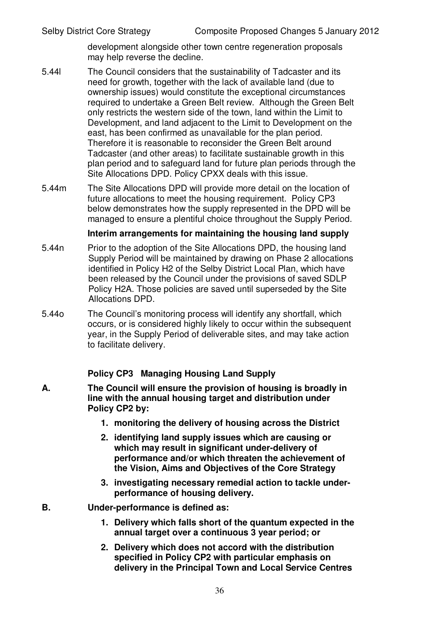development alongside other town centre regeneration proposals may help reverse the decline.

- 5.44l The Council considers that the sustainability of Tadcaster and its need for growth, together with the lack of available land (due to ownership issues) would constitute the exceptional circumstances required to undertake a Green Belt review. Although the Green Belt only restricts the western side of the town, land within the Limit to Development, and land adjacent to the Limit to Development on the east, has been confirmed as unavailable for the plan period. Therefore it is reasonable to reconsider the Green Belt around Tadcaster (and other areas) to facilitate sustainable growth in this plan period and to safeguard land for future plan periods through the Site Allocations DPD. Policy CPXX deals with this issue.
- 5.44m The Site Allocations DPD will provide more detail on the location of future allocations to meet the housing requirement. Policy CP3 below demonstrates how the supply represented in the DPD will be managed to ensure a plentiful choice throughout the Supply Period.

#### **Interim arrangements for maintaining the housing land supply**

- 5.44n Prior to the adoption of the Site Allocations DPD, the housing land Supply Period will be maintained by drawing on Phase 2 allocations identified in Policy H2 of the Selby District Local Plan, which have been released by the Council under the provisions of saved SDLP Policy H2A. Those policies are saved until superseded by the Site Allocations DPD.
- 5.44o The Council's monitoring process will identify any shortfall, which occurs, or is considered highly likely to occur within the subsequent year, in the Supply Period of deliverable sites, and may take action to facilitate delivery.

## **Policy CP3 Managing Housing Land Supply**

- **A. The Council will ensure the provision of housing is broadly in line with the annual housing target and distribution under Policy CP2 by:**
	- **1. monitoring the delivery of housing across the District**
	- **2. identifying land supply issues which are causing or which may result in significant under-delivery of performance and/or which threaten the achievement of the Vision, Aims and Objectives of the Core Strategy**
	- **3. investigating necessary remedial action to tackle underperformance of housing delivery.**
- **B. Under-performance is defined as:**
	- **1. Delivery which falls short of the quantum expected in the annual target over a continuous 3 year period; or**
	- **2. Delivery which does not accord with the distribution specified in Policy CP2 with particular emphasis on delivery in the Principal Town and Local Service Centres**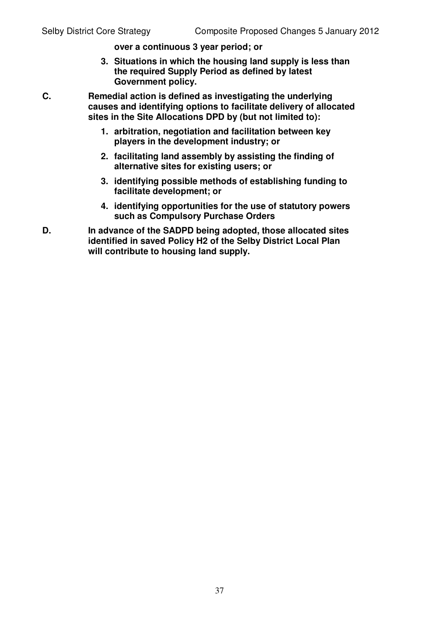**over a continuous 3 year period; or**

**3. Situations in which the housing land supply is less than the required Supply Period as defined by latest Government policy.**

**C. Remedial action is defined as investigating the underlying causes and identifying options to facilitate delivery of allocated sites in the Site Allocations DPD by (but not limited to):**

- **1. arbitration, negotiation and facilitation between key players in the development industry; or**
- **2. facilitating land assembly by assisting the finding of alternative sites for existing users; or**
- **3. identifying possible methods of establishing funding to facilitate development; or**
- **4. identifying opportunities for the use of statutory powers such as Compulsory Purchase Orders**
- **D. In advance of the SADPD being adopted, those allocated sites identified in saved Policy H2 of the Selby District Local Plan will contribute to housing land supply.**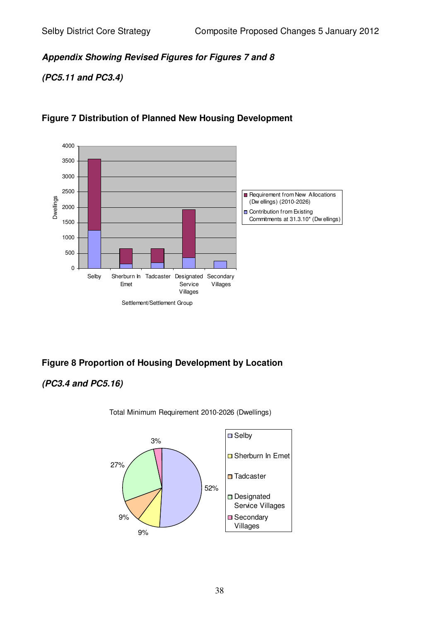*Appendix Showing Revised Figures for Figures 7 and 8*

*(PC5.11 and PC3.4)*



# **Figure 7 Distribution of Planned New Housing Development**

# **Figure 8 Proportion of Housing Development by Location**

# *(PC3.4 and PC5.16)*

Total Minimum Requirement 2010-2026 (Dwellings)